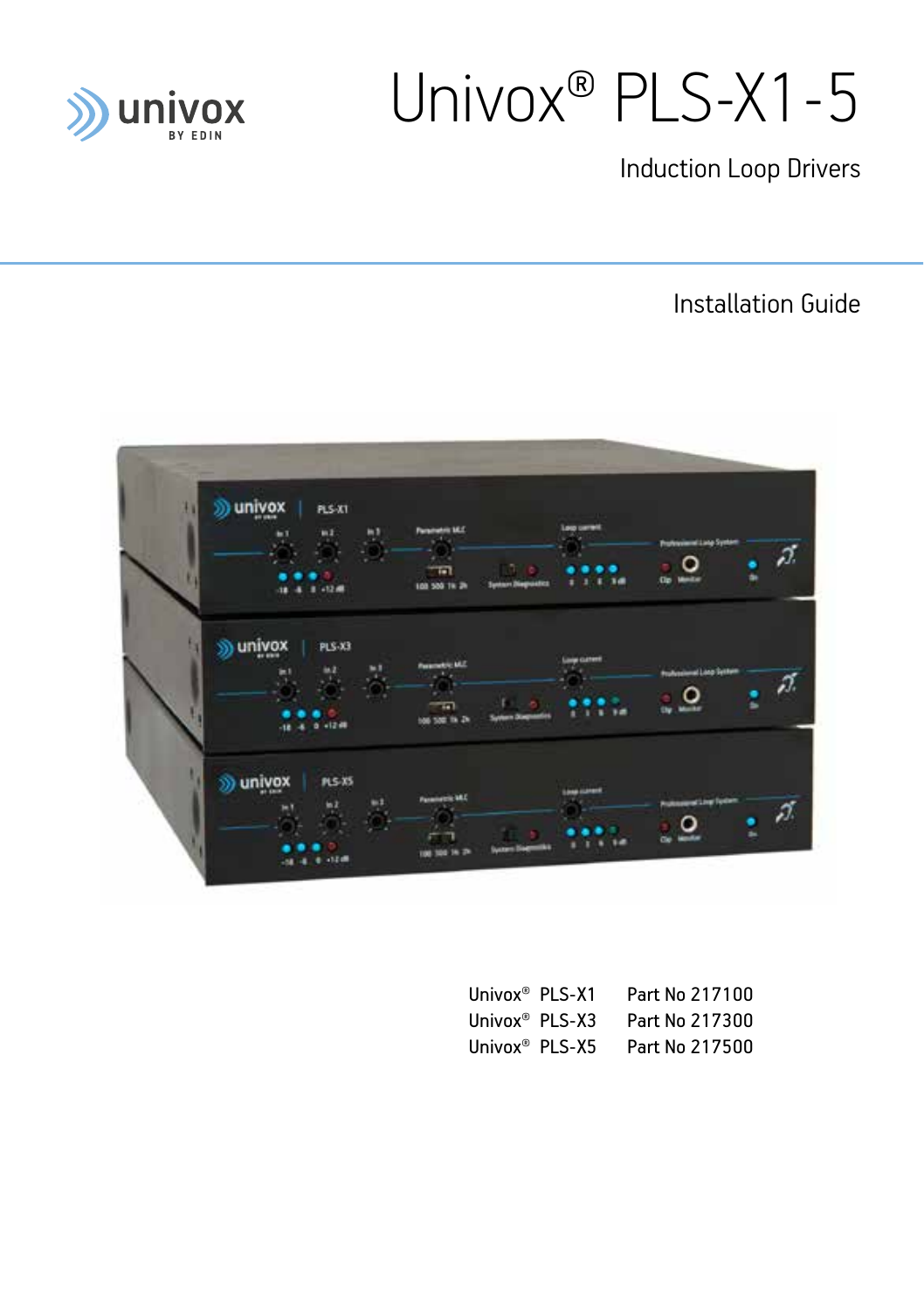

# Univox® PLS-X1-5

Induction Loop Drivers

## Installation Guide



| Univox <sup>®</sup> PLS-X1 | Part No 217100 |
|----------------------------|----------------|
| Univox <sup>®</sup> PLS-X3 | Part No 217300 |
| Univox <sup>®</sup> PLS-X5 | Part No 217500 |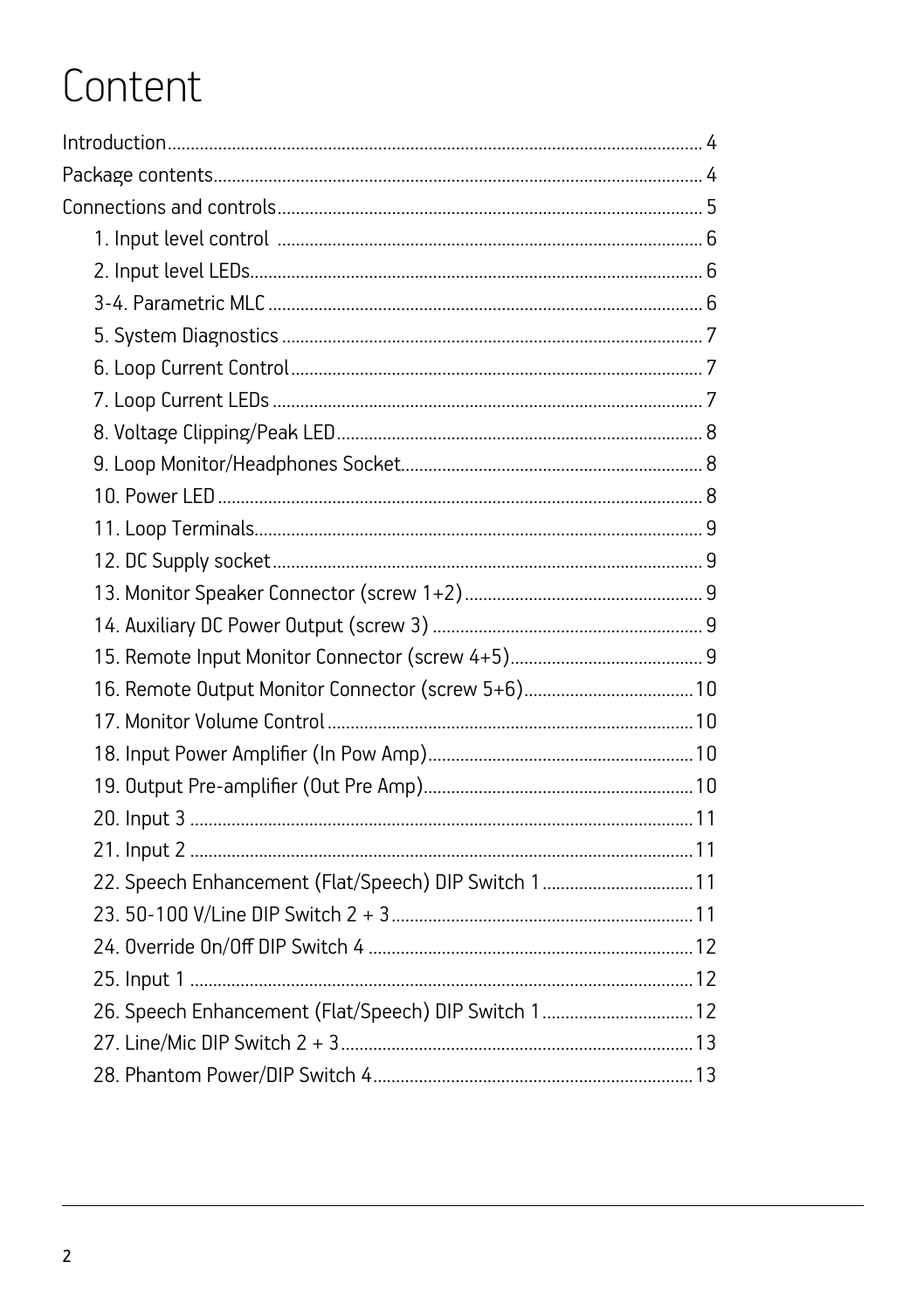## Content

| 22. Speech Enhancement (Flat/Speech) DIP Switch 1 11 |
|------------------------------------------------------|
|                                                      |
|                                                      |
|                                                      |
| 26. Speech Enhancement (Flat/Speech) DIP Switch 1 12 |
|                                                      |
|                                                      |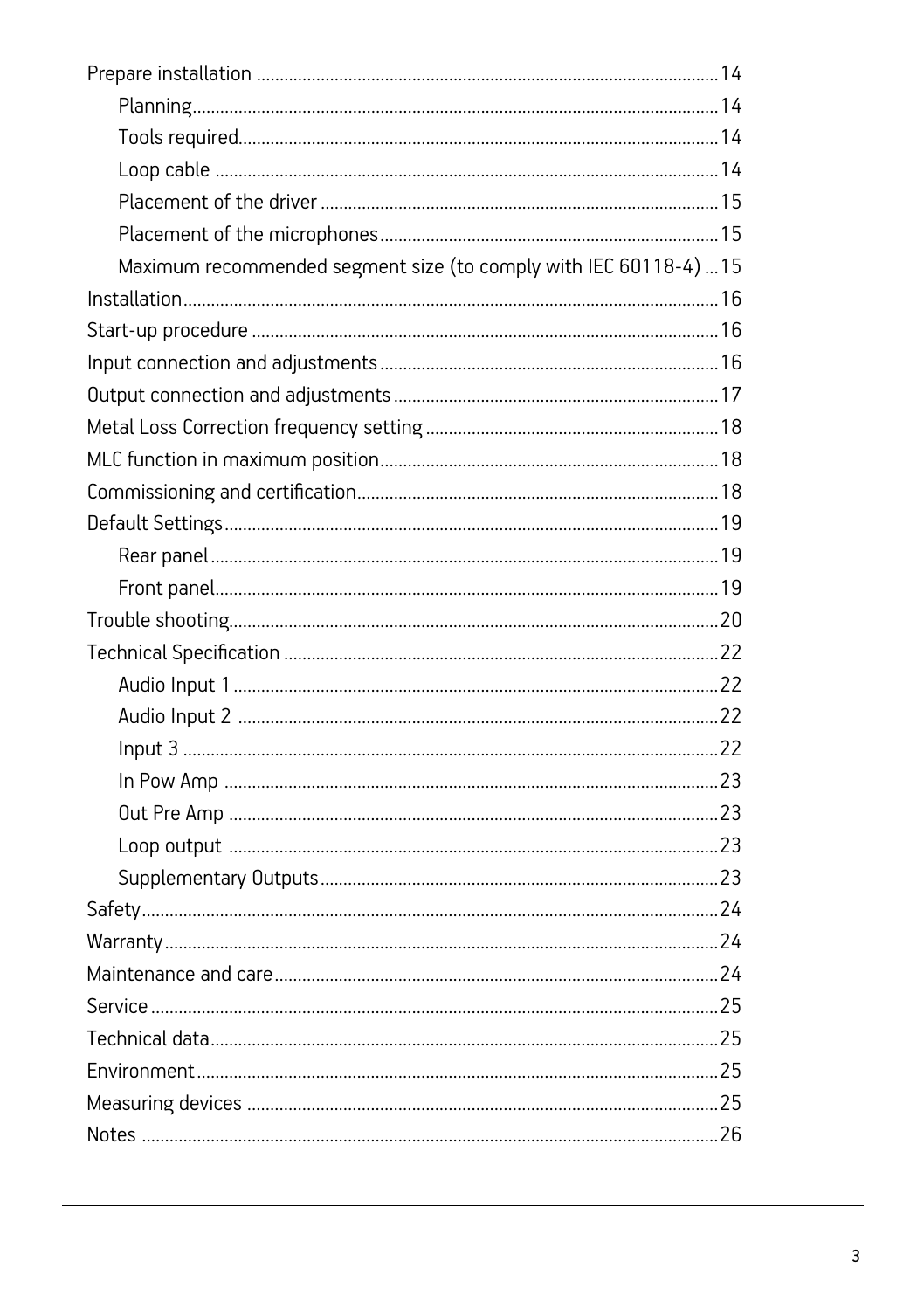| Maximum recommended segment size (to comply with IEC 60118-4)  15 |  |
|-------------------------------------------------------------------|--|
|                                                                   |  |
|                                                                   |  |
|                                                                   |  |
|                                                                   |  |
|                                                                   |  |
|                                                                   |  |
|                                                                   |  |
|                                                                   |  |
|                                                                   |  |
|                                                                   |  |
|                                                                   |  |
|                                                                   |  |
|                                                                   |  |
|                                                                   |  |
|                                                                   |  |
|                                                                   |  |
|                                                                   |  |
|                                                                   |  |
|                                                                   |  |
|                                                                   |  |
|                                                                   |  |
|                                                                   |  |
|                                                                   |  |
|                                                                   |  |
|                                                                   |  |
|                                                                   |  |
|                                                                   |  |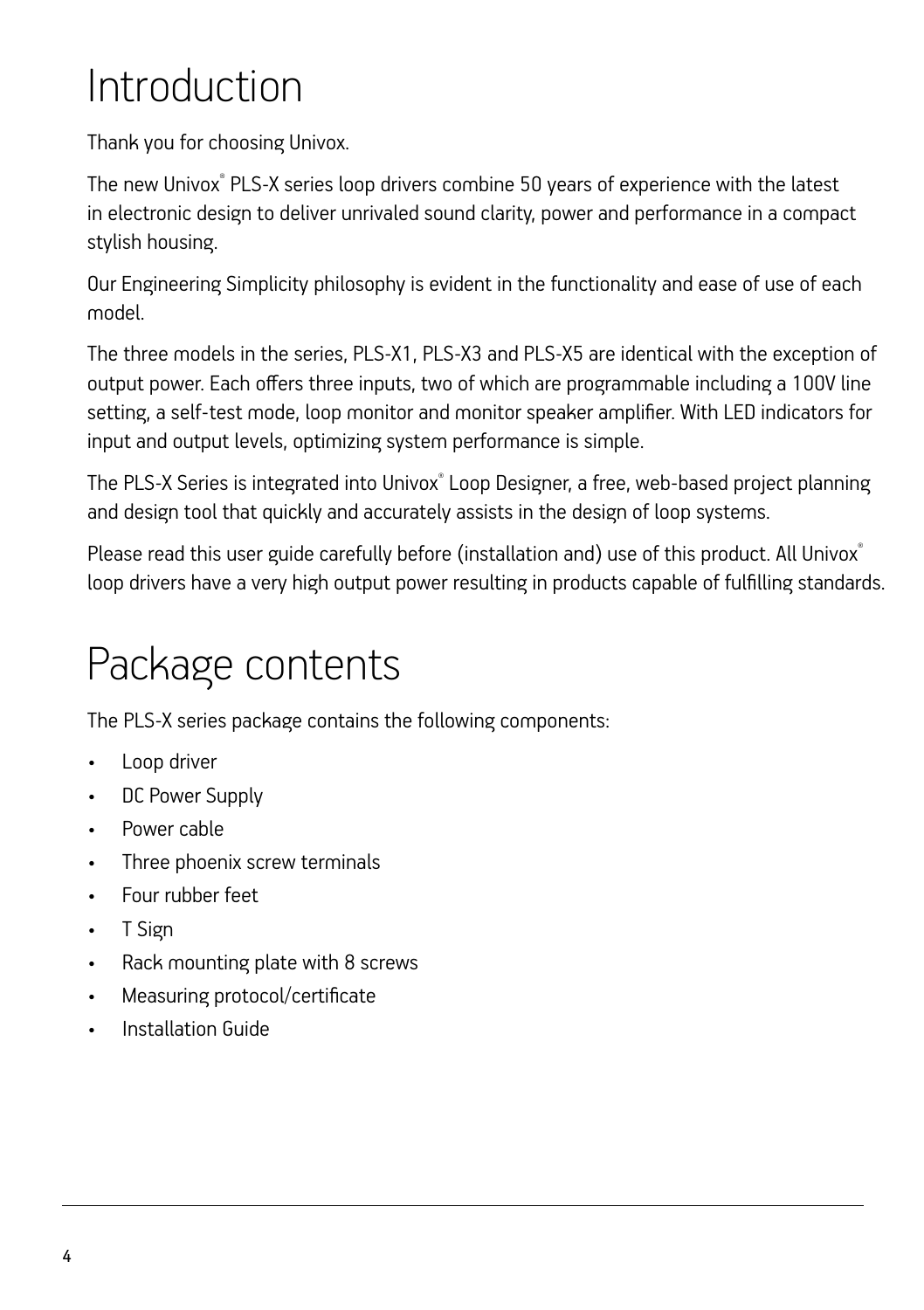## Introduction

Thank you for choosing Univox.

The new Univox® PLS-X series loop drivers combine 50 years of experience with the latest in electronic design to deliver unrivaled sound clarity, power and performance in a compact stylish housing.

Our Engineering Simplicity philosophy is evident in the functionality and ease of use of each model.

The three models in the series, PLS-X1, PLS-X3 and PLS-X5 are identical with the exception of output power. Each offers three inputs, two of which are programmable including a 100V line setting, a self-test mode, loop monitor and monitor speaker amplifier. With LED indicators for input and output levels, optimizing system performance is simple.

The PLS-X Series is integrated into Univox® Loop Designer, a free, web-based project planning and design tool that quickly and accurately assists in the design of loop systems.

Please read this user guide carefully before (installation and) use of this product. All Univox loop drivers have a very high output power resulting in products capable of fulfilling standards.

## Package contents

The PLS-X series package contains the following components:

- Loop driver
- DC Power Supply
- Power cable
- Three phoenix screw terminals
- Four rubber feet
- T Sign
- Rack mounting plate with 8 screws
- Measuring protocol/certificate
- Installation Guide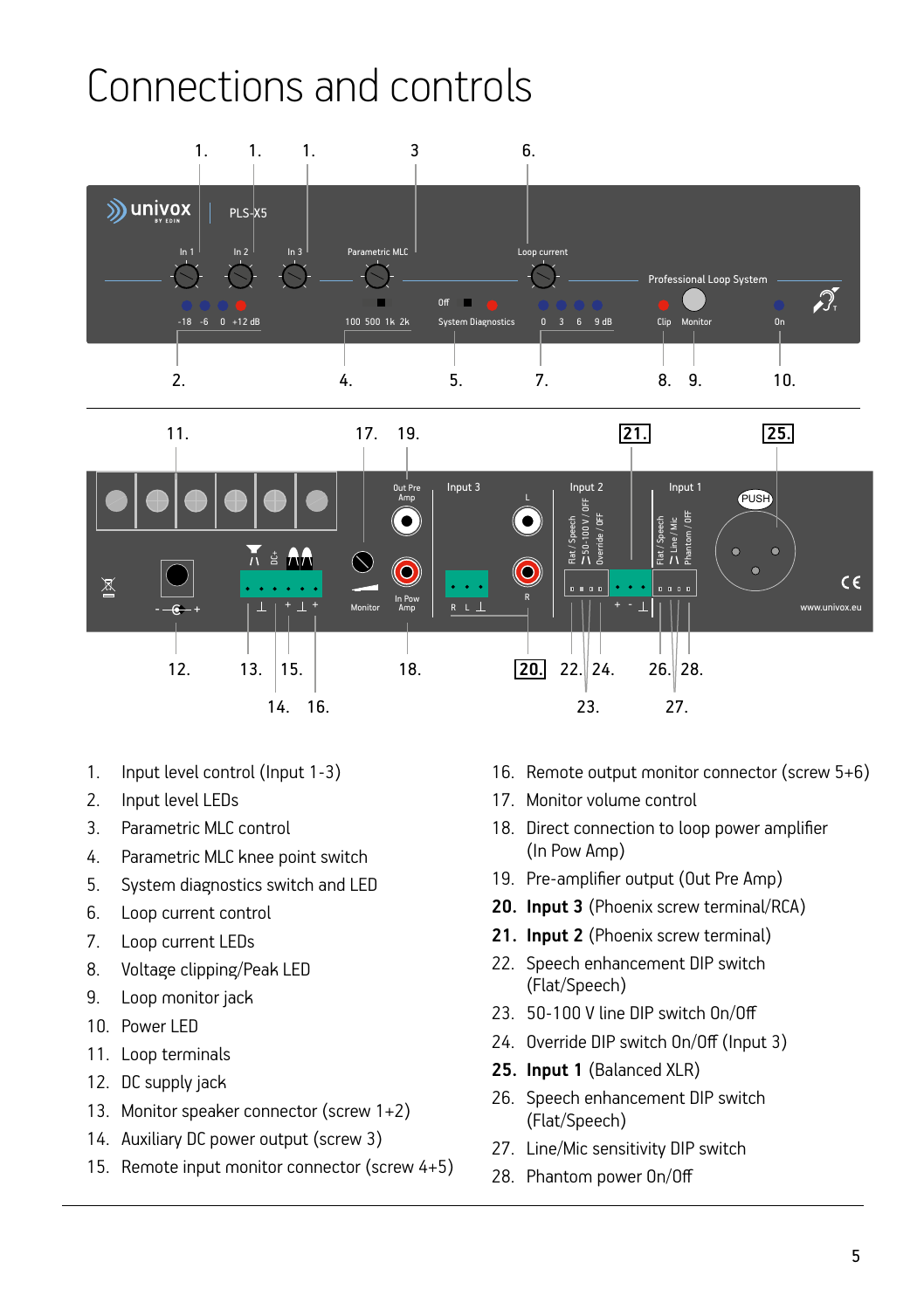## Connections and controls





- 1. Input level control (Input 1-3)
- 2. Input level LEDs
- 3. Parametric MLC control
- 4. Parametric MLC knee point switch
- 5. System diagnostics switch and LED
- 6. Loop current control
- 7. Loop current LEDs
- 8. Voltage clipping/Peak LED
- 9. Loop monitor jack
- 10. Power LED
- 11. Loop terminals
- 12. DC supply jack
- 13. Monitor speaker connector (screw 1+2)
- 14. Auxiliary DC power output (screw 3)
- 15. Remote input monitor connector (screw 4+5)
- 16. Remote output monitor connector (screw 5+6)
- 17. Monitor volume control
- 18. Direct connection to loop power amplifier (In Pow Amp)
- 19. Pre-amplifier output (Out Pre Amp)
- **20. Input 3** (Phoenix screw terminal/RCA)
- **21. Input 2** (Phoenix screw terminal)
- 22. Speech enhancement DIP switch (Flat/Speech)
- 23. 50-100 V line DIP switch On/Off
- 24. Override DIP switch On/Off (Input 3)
- **25. Input 1** (Balanced XLR)
- 26. Speech enhancement DIP switch (Flat/Speech)
- 27. Line/Mic sensitivity DIP switch
- 28. Phantom power On/Off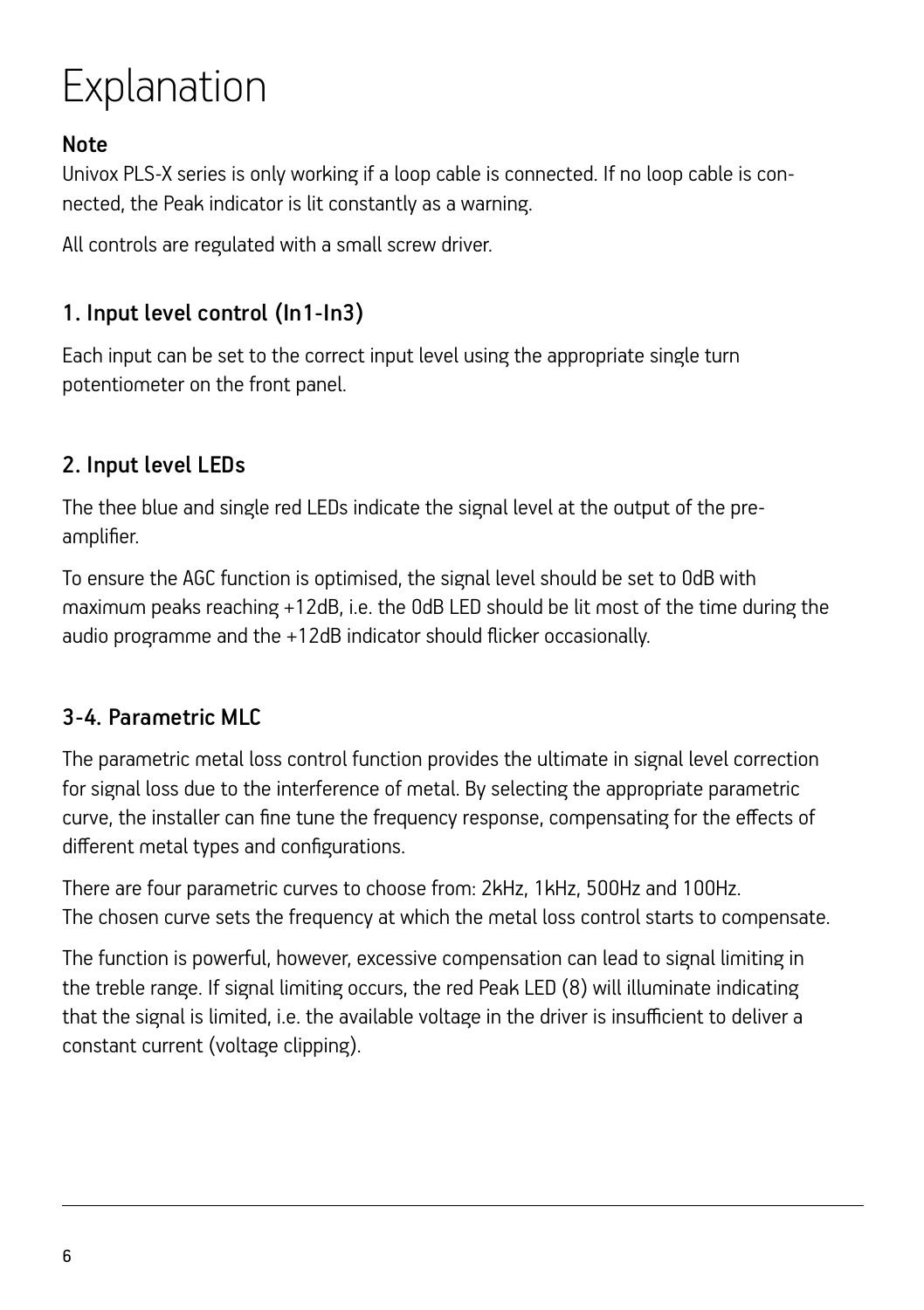## Explanation

### Note

Univox PLS-X series is only working if a loop cable is connected. If no loop cable is connected, the Peak indicator is lit constantly as a warning.

All controls are regulated with a small screw driver.

## 1. Input level control (In1-In3)

Each input can be set to the correct input level using the appropriate single turn potentiometer on the front panel.

### 2. Input level LEDs

The thee blue and single red LEDs indicate the signal level at the output of the preamplifier.

To ensure the AGC function is optimised, the signal level should be set to 0dB with maximum peaks reaching +12dB, i.e. the 0dB LED should be lit most of the time during the audio programme and the +12dB indicator should flicker occasionally.

### 3-4. Parametric MLC

The parametric metal loss control function provides the ultimate in signal level correction for signal loss due to the interference of metal. By selecting the appropriate parametric curve, the installer can fine tune the frequency response, compensating for the effects of different metal types and configurations.

There are four parametric curves to choose from: 2kHz, 1kHz, 500Hz and 100Hz. The chosen curve sets the frequency at which the metal loss control starts to compensate.

The function is powerful, however, excessive compensation can lead to signal limiting in the treble range. If signal limiting occurs, the red Peak LED (8) will illuminate indicating that the signal is limited, i.e. the available voltage in the driver is insufficient to deliver a constant current (voltage clipping).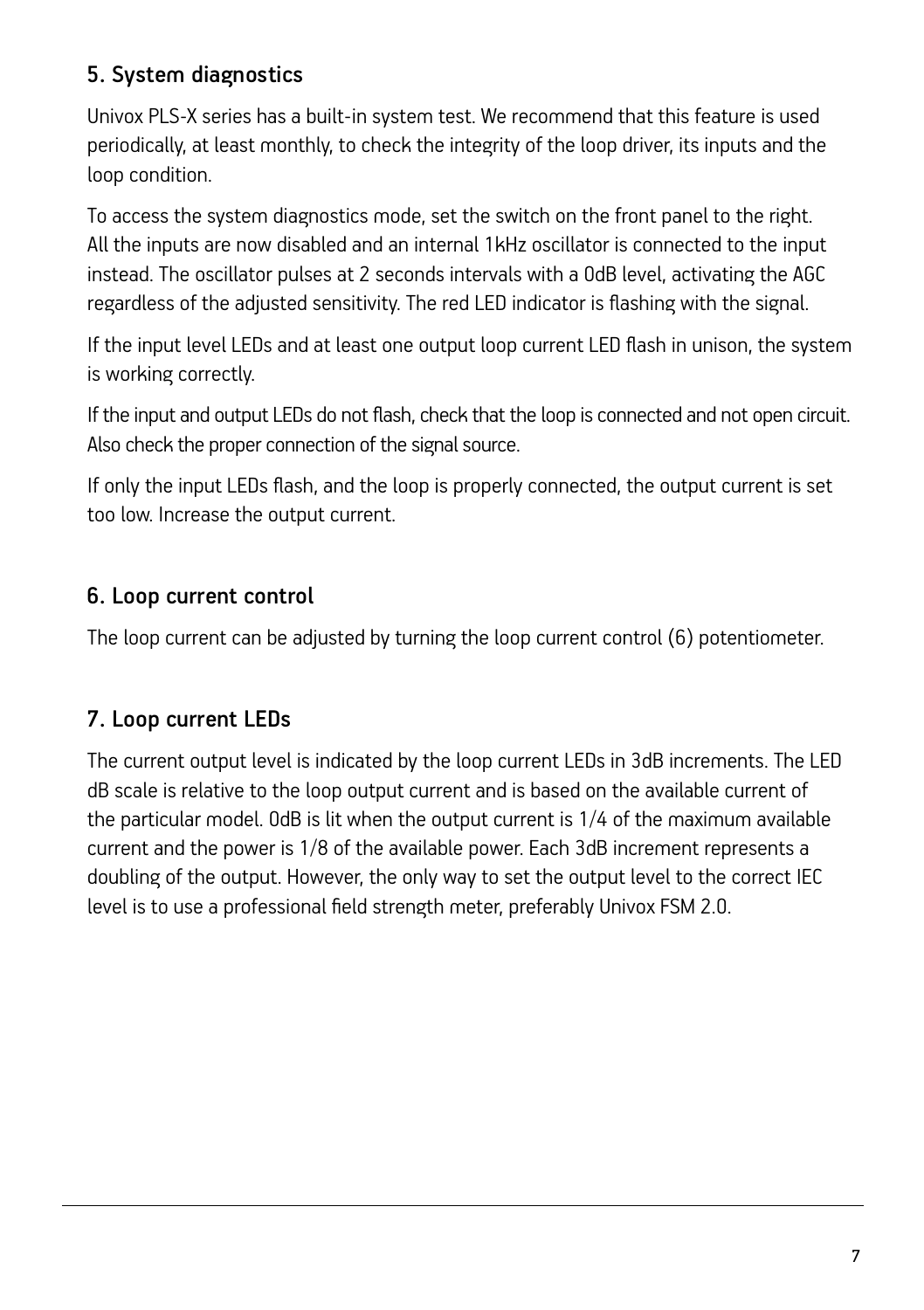## 5. System diagnostics

Univox PLS-X series has a built-in system test. We recommend that this feature is used periodically, at least monthly, to check the integrity of the loop driver, its inputs and the loop condition.

To access the system diagnostics mode, set the switch on the front panel to the right. All the inputs are now disabled and an internal 1kHz oscillator is connected to the input instead. The oscillator pulses at 2 seconds intervals with a 0dB level, activating the AGC regardless of the adjusted sensitivity. The red LED indicator is flashing with the signal.

If the input level LEDs and at least one output loop current LED flash in unison, the system is working correctly.

If the input and output LEDs do not flash, check that the loop is connected and not open circuit. Also check the proper connection of the signal source.

If only the input LEDs flash, and the loop is properly connected, the output current is set too low. Increase the output current.

### 6. Loop current control

The loop current can be adjusted by turning the loop current control (6) potentiometer.

### 7. Loop current LEDs

The current output level is indicated by the loop current LEDs in 3dB increments. The LED dB scale is relative to the loop output current and is based on the available current of the particular model. 0dB is lit when the output current is 1/4 of the maximum available current and the power is 1/8 of the available power. Each 3dB increment represents a doubling of the output. However, the only way to set the output level to the correct IEC level is to use a professional field strength meter, preferably Univox FSM 2.0.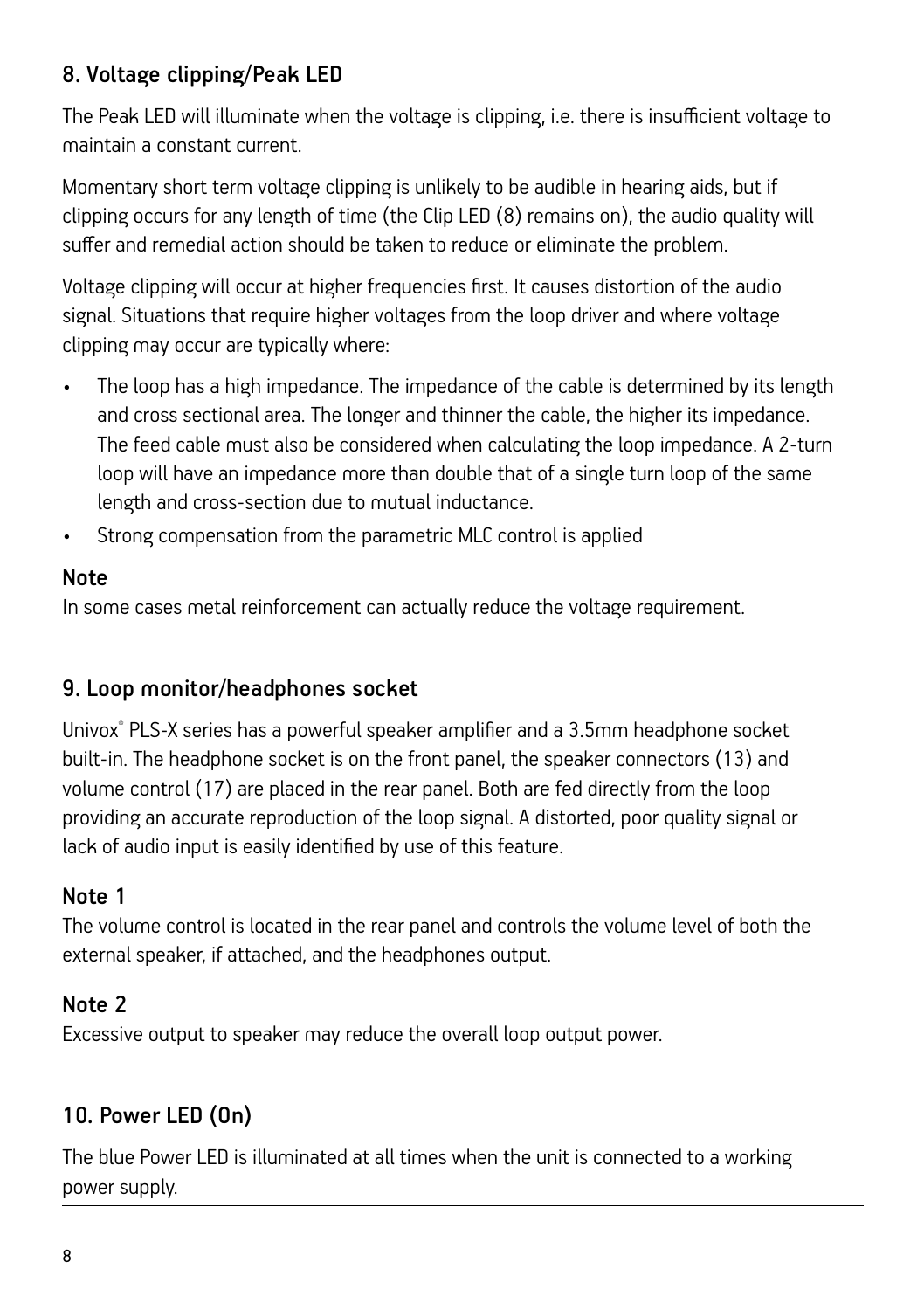## 8. Voltage clipping/Peak LED

The Peak LED will illuminate when the voltage is clipping, i.e. there is insufficient voltage to maintain a constant current.

Momentary short term voltage clipping is unlikely to be audible in hearing aids, but if clipping occurs for any length of time (the Clip LED (8) remains on), the audio quality will suffer and remedial action should be taken to reduce or eliminate the problem.

Voltage clipping will occur at higher frequencies first. It causes distortion of the audio signal. Situations that require higher voltages from the loop driver and where voltage clipping may occur are typically where:

- The loop has a high impedance. The impedance of the cable is determined by its length and cross sectional area. The longer and thinner the cable, the higher its impedance. The feed cable must also be considered when calculating the loop impedance. A 2-turn loop will have an impedance more than double that of a single turn loop of the same length and cross-section due to mutual inductance.
- Strong compensation from the parametric MLC control is applied

#### **Note**

In some cases metal reinforcement can actually reduce the voltage requirement.

### 9. Loop monitor/headphones socket

Univox® PLS-X series has a powerful speaker amplifier and a 3.5mm headphone socket built-in. The headphone socket is on the front panel, the speaker connectors (13) and volume control (17) are placed in the rear panel. Both are fed directly from the loop providing an accurate reproduction of the loop signal. A distorted, poor quality signal or lack of audio input is easily identified by use of this feature.

### Note 1

The volume control is located in the rear panel and controls the volume level of both the external speaker, if attached, and the headphones output.

### Note 2

Excessive output to speaker may reduce the overall loop output power.

### 10. Power LED (On)

The blue Power LED is illuminated at all times when the unit is connected to a working power supply.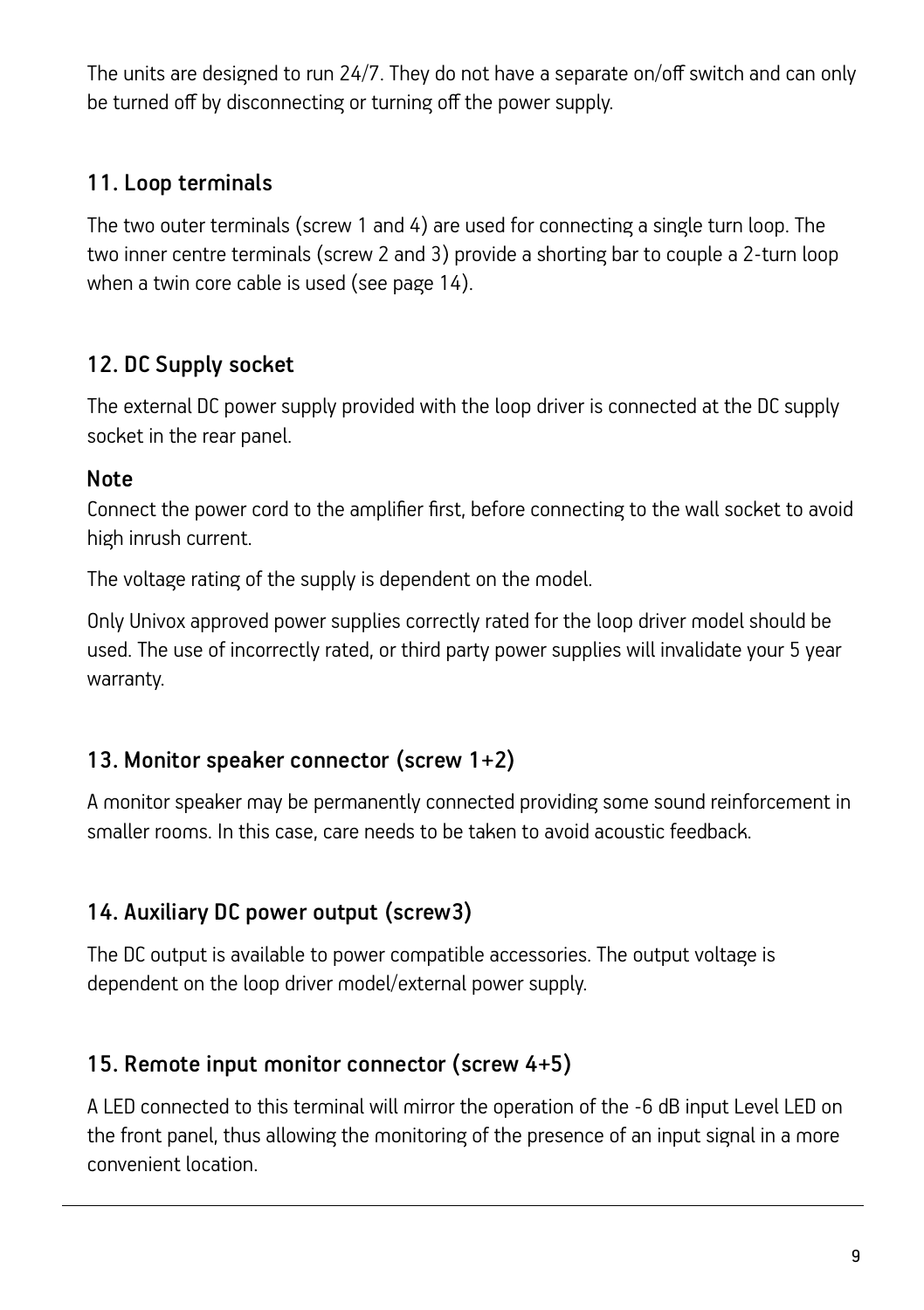The units are designed to run 24/7. They do not have a separate on/off switch and can only be turned off by disconnecting or turning off the power supply.

### 11. Loop terminals

The two outer terminals (screw 1 and 4) are used for connecting a single turn loop. The two inner centre terminals (screw 2 and 3) provide a shorting bar to couple a 2-turn loop when a twin core cable is used (see page 14).

## 12. DC Supply socket

The external DC power supply provided with the loop driver is connected at the DC supply socket in the rear panel.

### **Note**

Connect the power cord to the amplifier first, before connecting to the wall socket to avoid high inrush current.

The voltage rating of the supply is dependent on the model.

Only Univox approved power supplies correctly rated for the loop driver model should be used. The use of incorrectly rated, or third party power supplies will invalidate your 5 year warranty.

### 13. Monitor speaker connector (screw 1+2)

A monitor speaker may be permanently connected providing some sound reinforcement in smaller rooms. In this case, care needs to be taken to avoid acoustic feedback.

## 14. Auxiliary DC power output (screw3)

The DC output is available to power compatible accessories. The output voltage is dependent on the loop driver model/external power supply.

### 15. Remote input monitor connector (screw 4+5)

A LED connected to this terminal will mirror the operation of the -6 dB input Level LED on the front panel, thus allowing the monitoring of the presence of an input signal in a more convenient location.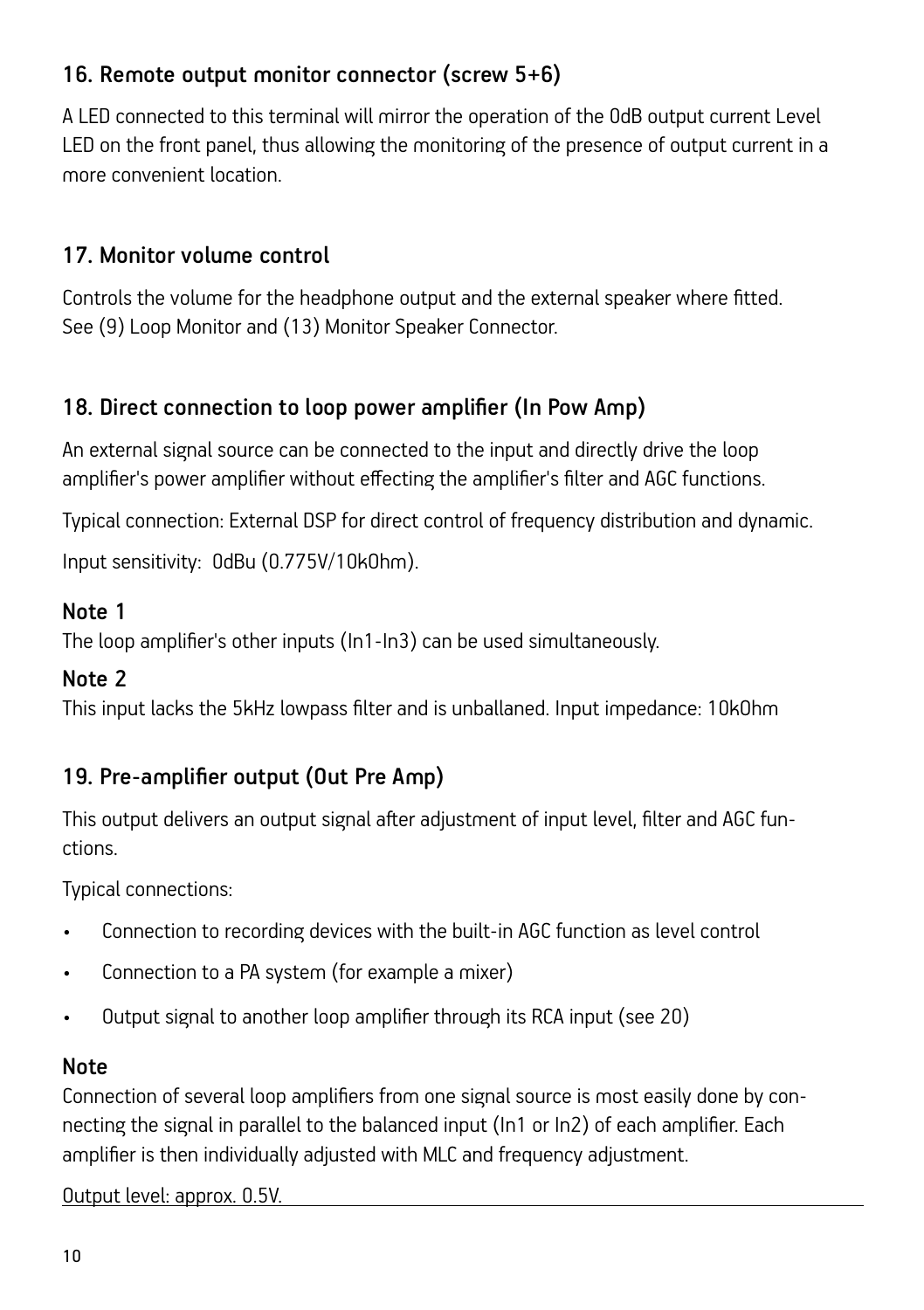## 16. Remote output monitor connector (screw 5+6)

A LED connected to this terminal will mirror the operation of the 0dB output current Level LED on the front panel, thus allowing the monitoring of the presence of output current in a more convenient location.

### 17. Monitor volume control

Controls the volume for the headphone output and the external speaker where fitted. See (9) Loop Monitor and (13) Monitor Speaker Connector.

### 18. Direct connection to loop power amplifier (In Pow Amp)

An external signal source can be connected to the input and directly drive the loop amplifier's power amplifier without effecting the amplifier's filter and AGC functions.

Typical connection: External DSP for direct control of frequency distribution and dynamic.

Input sensitivity: 0dBu (0.775V/10kOhm).

#### Note 1

The loop amplifier's other inputs (In1-In3) can be used simultaneously.

### Note<sub>2</sub>

This input lacks the 5kHz lowpass filter and is unballaned. Input impedance: 10kOhm

### 19. Pre-amplifier output (Out Pre Amp)

This output delivers an output signal after adjustment of input level, filter and AGC functions.

Typical connections:

- Connection to recording devices with the built-in AGC function as level control
- Connection to a PA system (for example a mixer)
- Output signal to another loop amplifier through its RCA input (see 20)

#### Note

Connection of several loop amplifiers from one signal source is most easily done by connecting the signal in parallel to the balanced input (In1 or In2) of each amplifier. Each amplifier is then individually adjusted with MLC and frequency adjustment.

Output level: approx. 0.5V.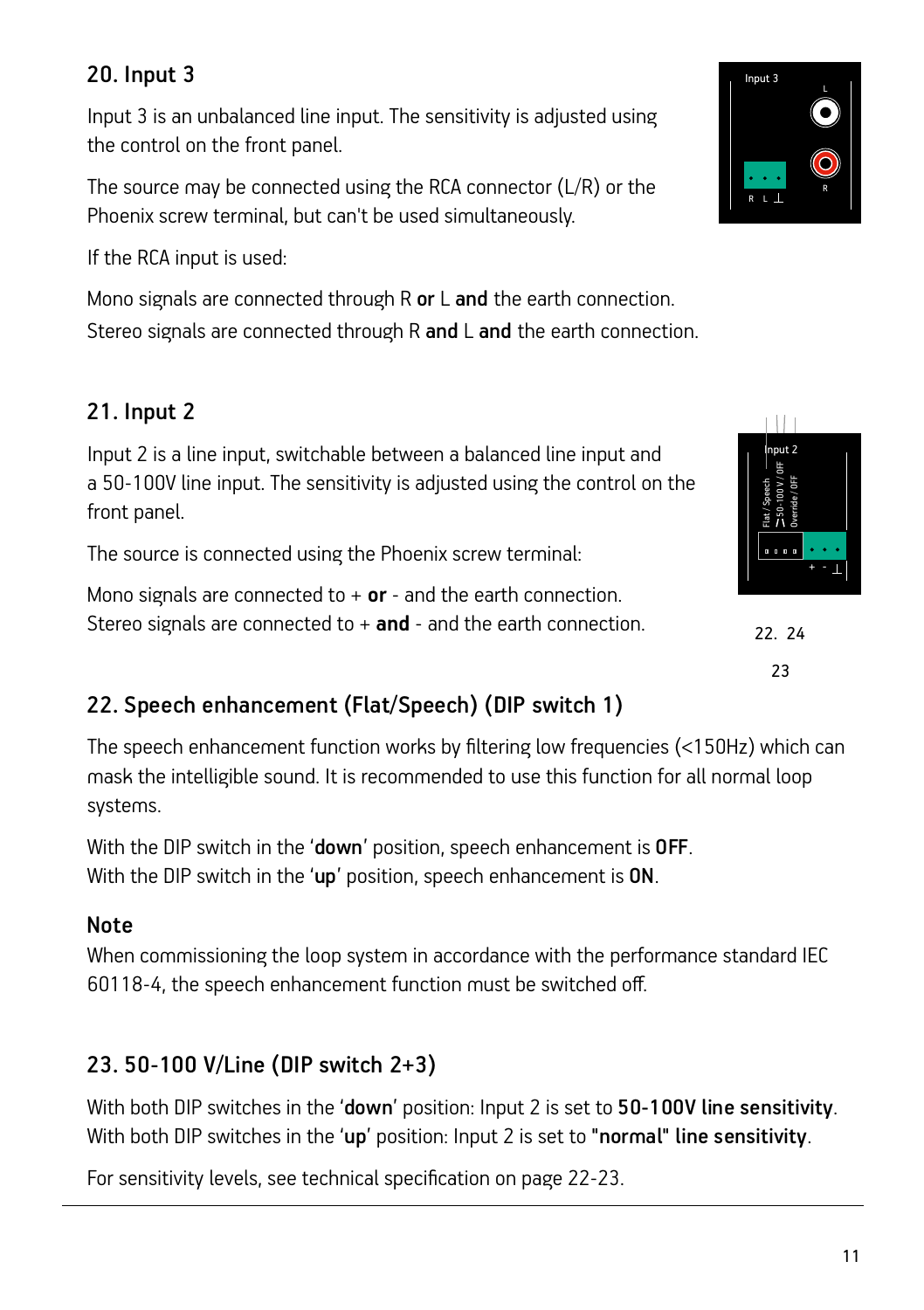## 20. Input 3

Input 3 is an unbalanced line input. The sensitivity is adjusted using the control on the front panel.

The source may be connected using the RCA connector (L/R) or the Phoenix screw terminal, but can't be used simultaneously.

If the RCA input is used:

Mono signals are connected through R or L and the earth connection. Stereo signals are connected through R and L and the earth connection.

## 21. Input 2

Input 2 is a line input, switchable between a balanced line input and a 50-100V line input. The sensitivity is adjusted using the control on the front panel.

The source is connected using the Phoenix screw terminal:

Mono signals are connected to + **or** - and the earth connection. Stereo signals are connected to + **and** - and the earth connection.

## 22. Speech enhancement (Flat/Speech) (DIP switch 1)

The speech enhancement function works by filtering low frequencies (<150Hz) which can mask the intelligible sound. It is recommended to use this function for all normal loop systems.

With the DIP switch in the 'down' position, speech enhancement is OFF. With the DIP switch in the 'up' position, speech enhancement is ON.

### Note

When commissioning the loop system in accordance with the performance standard IEC 60118-4, the speech enhancement function must be switched off.

## 23. 50-100 V/Line (DIP switch 2+3)

With both DIP switches in the 'down' position: Input 2 is set to 50-100V line sensitivity. With both DIP switches in the 'up' position: Input 2 is set to "normal" line sensitivity.

For sensitivity levels, see technical specification on page 22-23.





24 22.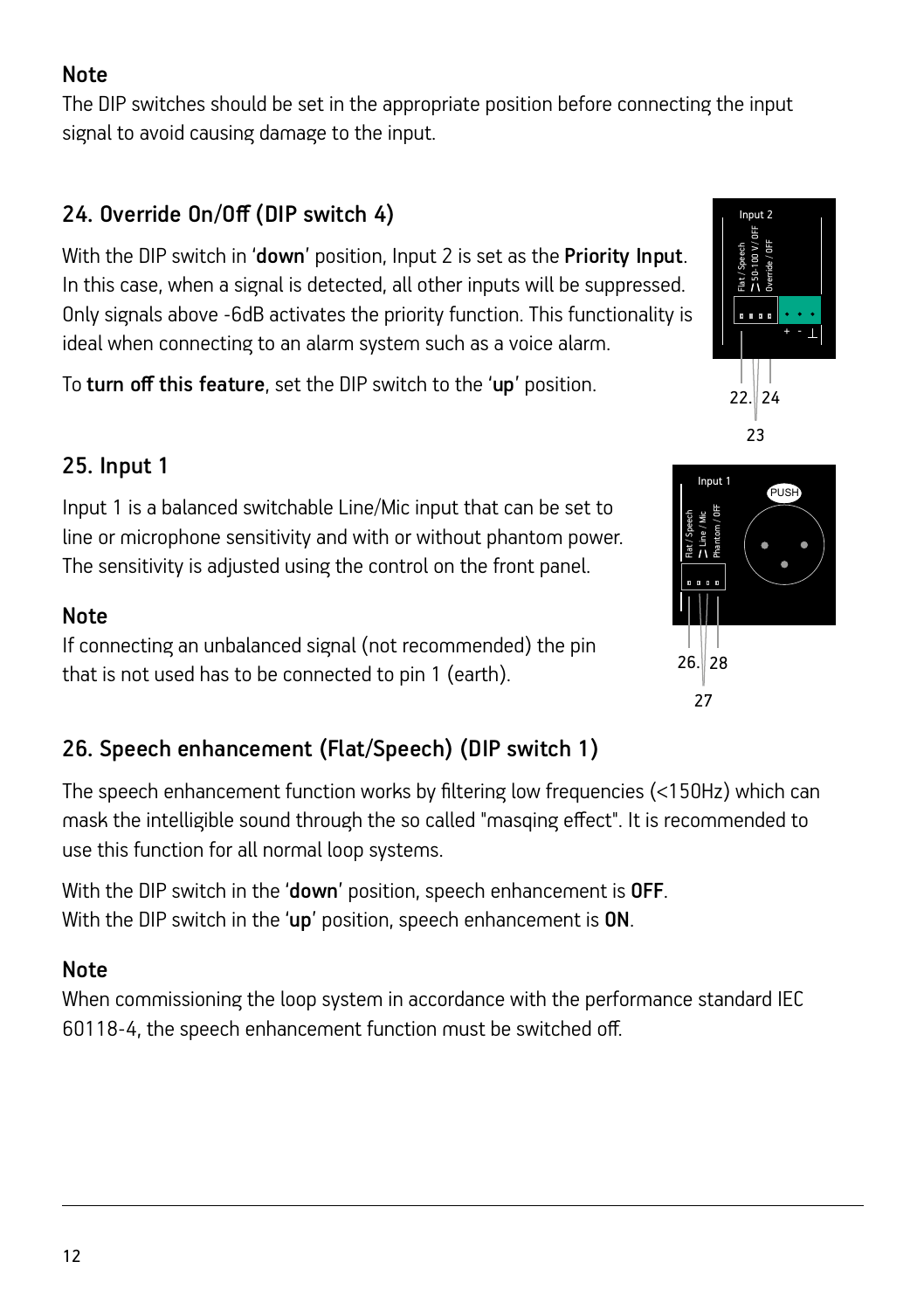#### **Note**

The DIP switches should be set in the appropriate position before connecting the input signal to avoid causing damage to the input.

### 24. Override On/Off (DIP switch 4)

With the DIP switch in '**down'** position, Input 2 is set as the **Priority Input**. In this case, when a signal is detected, all other inputs will be suppressed. Only signals above -6dB activates the priority function. This functionality is ideal when connecting to an alarm system such as a voice alarm.

To turn off this feature, set the DIP switch to the 'up' position.

#### 25. Input 1

Input 1 is a balanced switchable Line/Mic input that can be set to line or microphone sensitivity and with or without phantom power. The sensitivity is adjusted using the control on the front panel.

#### Note

If connecting an unbalanced signal (not recommended) the pin that is not used has to be connected to pin 1 (earth).

### 26. Speech enhancement (Flat/Speech) (DIP switch 1)

The speech enhancement function works by filtering low frequencies (<150Hz) which can mask the intelligible sound through the so called "masqing effect". It is recommended to use this function for all normal loop systems.

With the DIP switch in the 'down' position, speech enhancement is OFF. With the DIP switch in the 'up' position, speech enhancement is ON.

#### Note

When commissioning the loop system in accordance with the performance standard IEC 60118-4, the speech enhancement function must be switched off.



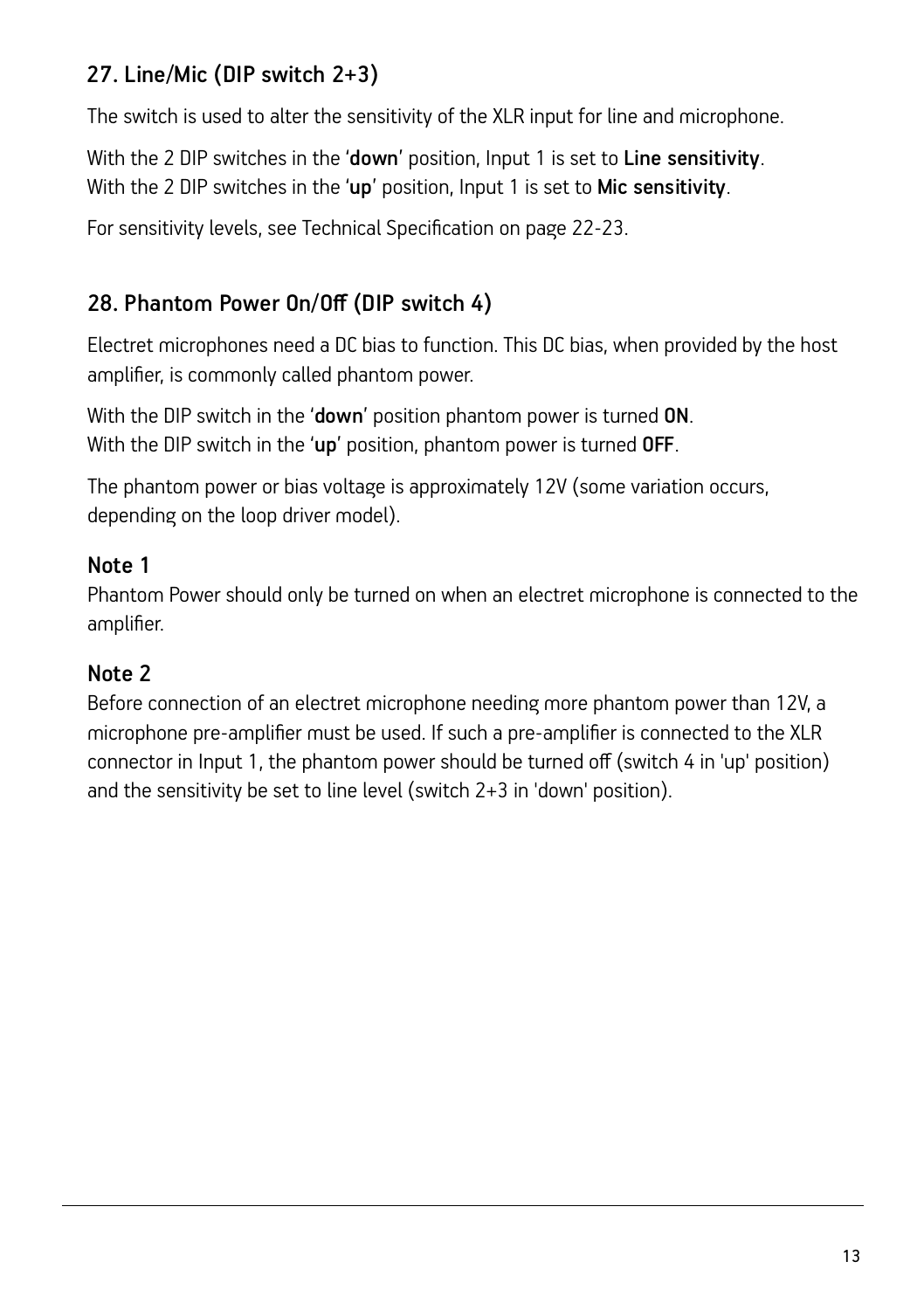## 27. Line/Mic (DIP switch 2+3)

The switch is used to alter the sensitivity of the XLR input for line and microphone.

With the 2 DIP switches in the 'down' position, Input 1 is set to Line sensitivity. With the 2 DIP switches in the 'up' position, Input 1 is set to Mic sensitivity.

For sensitivity levels, see Technical Specification on page 22-23.

## 28. Phantom Power On/Off (DIP switch 4)

Electret microphones need a DC bias to function. This DC bias, when provided by the host amplifier, is commonly called phantom power.

With the DIP switch in the 'down' position phantom power is turned ON. With the DIP switch in the 'up' position, phantom power is turned OFF.

The phantom power or bias voltage is approximately 12V (some variation occurs, depending on the loop driver model).

### Note 1

Phantom Power should only be turned on when an electret microphone is connected to the amplifier.

### Note 2

Before connection of an electret microphone needing more phantom power than 12V, a microphone pre-amplifier must be used. If such a pre-amplifier is connected to the XLR connector in Input 1, the phantom power should be turned off (switch 4 in 'up' position) and the sensitivity be set to line level (switch 2+3 in 'down' position).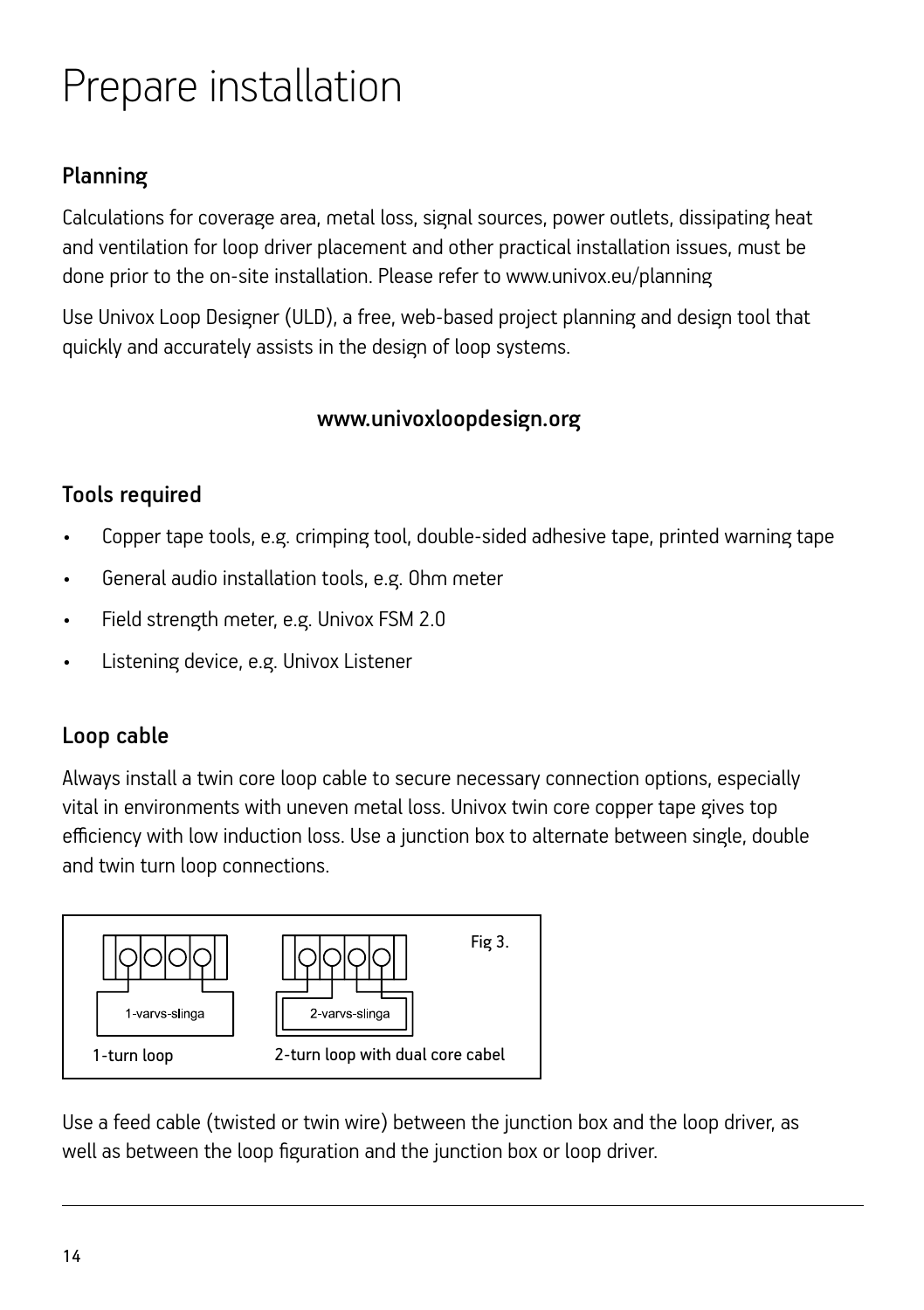## Prepare installation

## Planning

Calculations for coverage area, metal loss, signal sources, power outlets, dissipating heat and ventilation for loop driver placement and other practical installation issues, must be done prior to the on-site installation. Please refer to www.univox.eu/planning

Use Univox Loop Designer (ULD), a free, web-based project planning and design tool that quickly and accurately assists in the design of loop systems.

#### www.univoxloopdesign.org

### Tools required

- Copper tape tools, e.g. crimping tool, double-sided adhesive tape, printed warning tape
- General audio installation tools, e.g. Ohm meter
- Field strength meter, e.g. Univox FSM 2.0
- Listening device, e.g. Univox Listener

### Loop cable

Always install a twin core loop cable to secure necessary connection options, especially vital in environments with uneven metal loss. Univox twin core copper tape gives top efficiency with low induction loss. Use a junction box to alternate between single, double and twin turn loop connections.



Use a feed cable (twisted or twin wire) between the junction box and the loop driver, as well as between the loop figuration and the junction box or loop driver.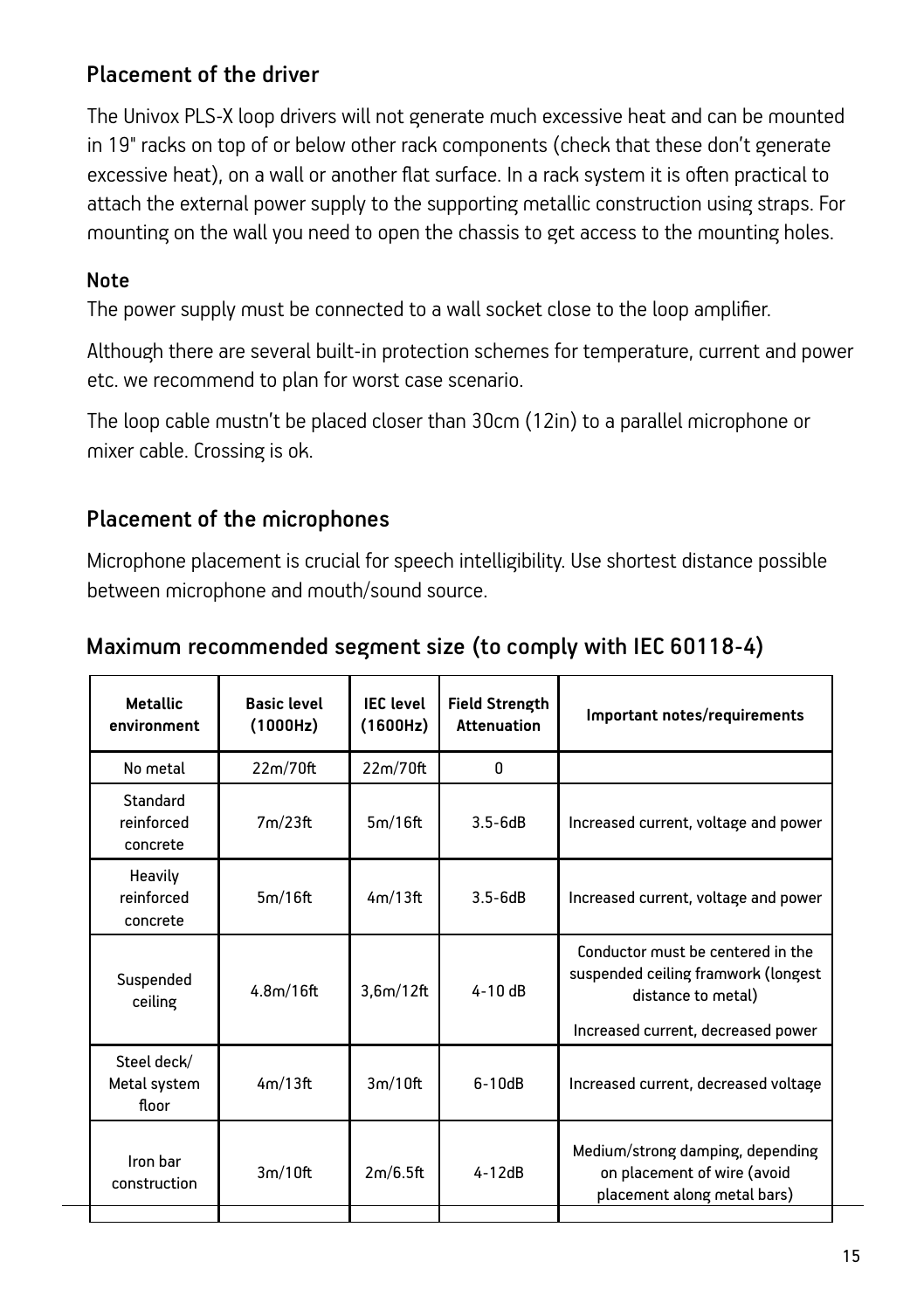### Placement of the driver

The Univox PLS-X loop drivers will not generate much excessive heat and can be mounted in 19" racks on top of or below other rack components (check that these don't generate excessive heat), on a wall or another flat surface. In a rack system it is often practical to attach the external power supply to the supporting metallic construction using straps. For mounting on the wall you need to open the chassis to get access to the mounting holes.

#### Note

The power supply must be connected to a wall socket close to the loop amplifier.

Although there are several built-in protection schemes for temperature, current and power etc. we recommend to plan for worst case scenario.

The loop cable mustn't be placed closer than 30cm (12in) to a parallel microphone or mixer cable. Crossing is ok.

#### Placement of the microphones

Microphone placement is crucial for speech intelligibility. Use shortest distance possible between microphone and mouth/sound source.

| <b>Metallic</b><br>environment       | <b>Basic level</b><br>(1000Hz) | <b>IEC</b> level<br>(1600Hz) | <b>Field Strength</b><br><b>Attenuation</b> | Important notes/requirements                                                                                                         |
|--------------------------------------|--------------------------------|------------------------------|---------------------------------------------|--------------------------------------------------------------------------------------------------------------------------------------|
| No metal                             | 22m/70ft                       | 22m/70ft                     | 0                                           |                                                                                                                                      |
| Standard<br>reinforced<br>concrete   | 7m/23ft                        | 5m/16ft                      | $3.5 - 6dB$                                 | Increased current, voltage and power                                                                                                 |
| Heavily<br>reinforced<br>concrete    | 5m/16ft                        | 4m/13ft                      | $3.5 - 6dB$                                 | Increased current, voltage and power                                                                                                 |
| Suspended<br>ceiling                 | 4.8 <sub>m</sub> /16ft         | 3,6m/12ft                    | $4-10dB$                                    | Conductor must be centered in the<br>suspended ceiling framwork (longest<br>distance to metal)<br>Increased current, decreased power |
| Steel deck/<br>Metal system<br>floor | 4m/13ft                        | 3m/10ft                      | $6-10dB$                                    | Increased current, decreased voltage                                                                                                 |
| Iron bar<br>construction             | 3m/10ft                        | 2m/6.5ft                     | $4-12dB$                                    | Medium/strong damping, depending<br>on placement of wire (avoid<br>placement along metal bars)                                       |
|                                      |                                |                              |                                             |                                                                                                                                      |

#### Maximum recommended segment size (to comply with IEC 60118-4)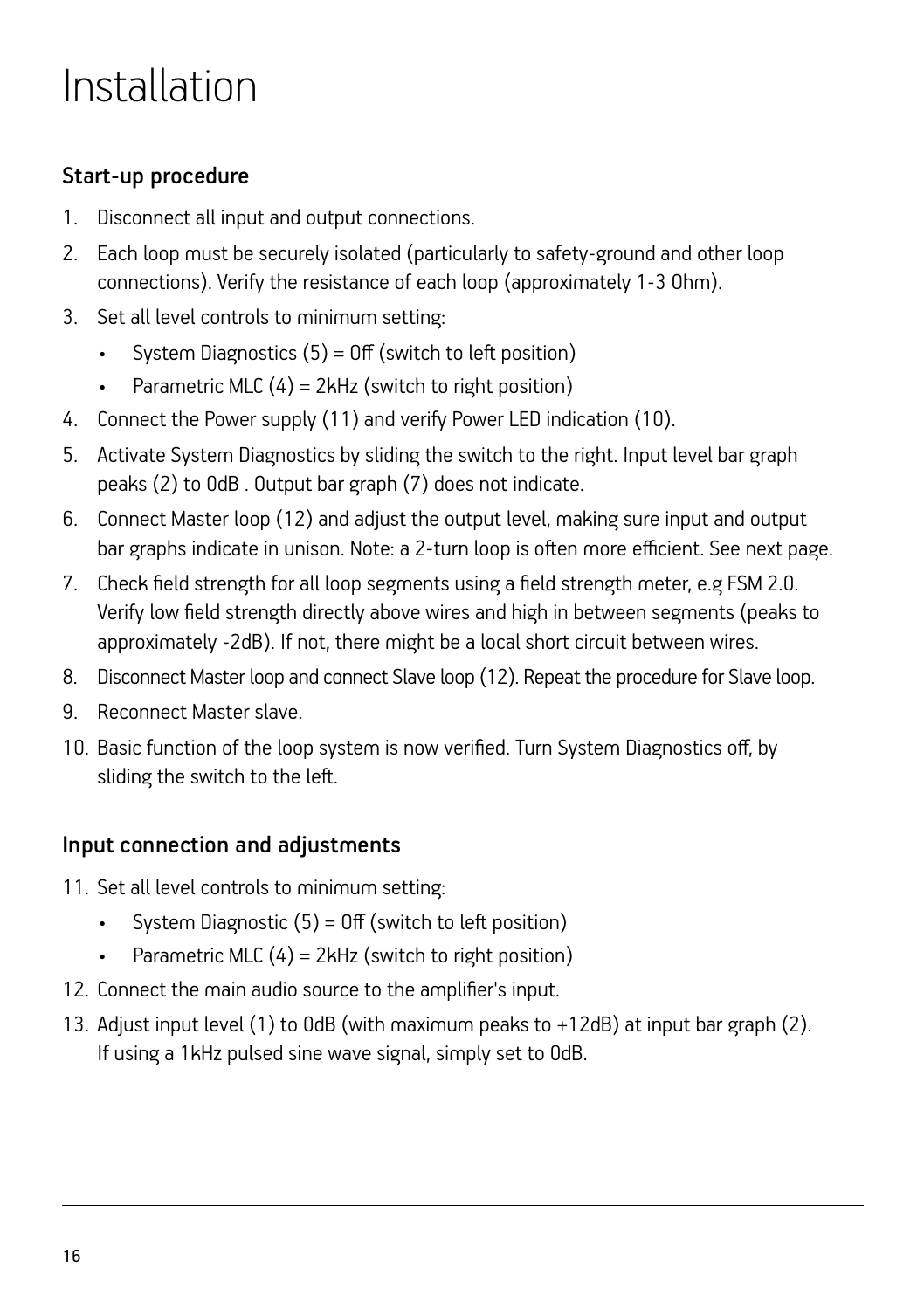## Installation

## Start-up procedure

- 1. Disconnect all input and output connections.
- 2. Each loop must be securely isolated (particularly to safety-ground and other loop connections). Verify the resistance of each loop (approximately 1-3 Ohm).
- 3. Set all level controls to minimum setting:
	- System Diagnostics (5) = Off (switch to left position)
	- Parametric MLC  $(4) = 2$ kHz (switch to right position)
- 4. Connect the Power supply (11) and verify Power LED indication (10).
- 5. Activate System Diagnostics by sliding the switch to the right. Input level bar graph peaks (2) to 0dB . Output bar graph (7) does not indicate.
- 6. Connect Master loop (12) and adjust the output level, making sure input and output bar graphs indicate in unison. Note: a 2-turn loop is often more efficient. See next page.
- 7. Check field strength for all loop segments using a field strength meter, e.g FSM 2.0. Verify low field strength directly above wires and high in between segments (peaks to approximately -2dB). If not, there might be a local short circuit between wires.
- 8. Disconnect Master loop and connect Slave loop (12). Repeat the procedure for Slave loop.
- 9. Reconnect Master slave.
- 10. Basic function of the loop system is now verified. Turn System Diagnostics off, by sliding the switch to the left.

## Input connection and adjustments

- 11. Set all level controls to minimum setting:
	- System Diagnostic (5) = Off (switch to left position)
	- Parametric MLC  $(4) = 2$ kHz (switch to right position)
- 12. Connect the main audio source to the amplifier's input.
- 13. Adjust input level (1) to 0dB (with maximum peaks to +12dB) at input bar graph (2). If using a 1kHz pulsed sine wave signal, simply set to 0dB.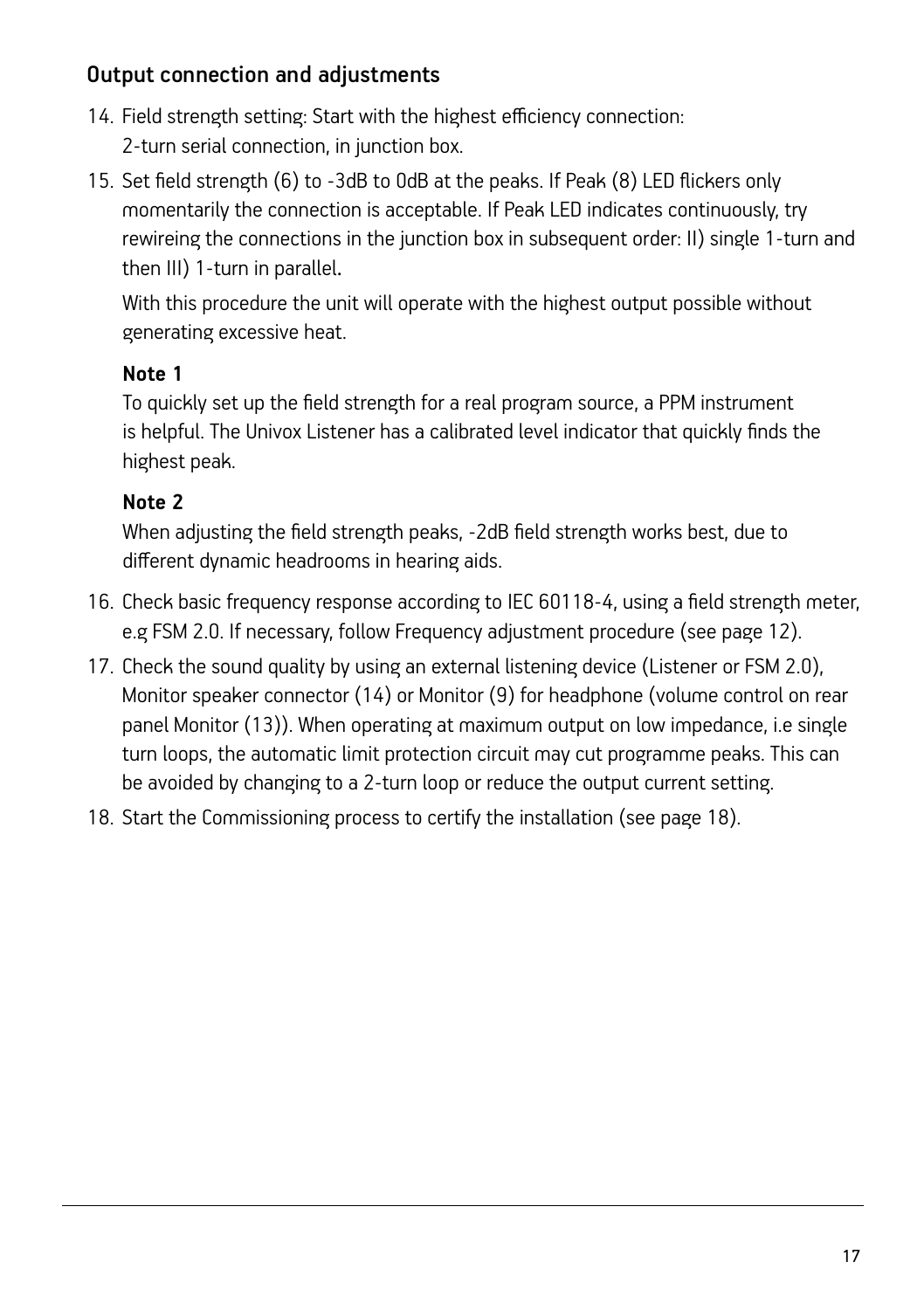### Output connection and adjustments

- 14. Field strength setting: Start with the highest efficiency connection: 2-turn serial connection, in junction box.
- 15. Set field strength (6) to -3dB to 0dB at the peaks. If Peak (8) LED flickers only momentarily the connection is acceptable. If Peak LED indicates continuously, try rewireing the connections in the junction box in subsequent order: II) single 1-turn and then III) 1-turn in parallel.

With this procedure the unit will operate with the highest output possible without generating excessive heat.

#### **Note 1**

To quickly set up the field strength for a real program source, a PPM instrument is helpful. The Univox Listener has a calibrated level indicator that quickly finds the highest peak.

#### **Note 2**

When adjusting the field strength peaks, -2dB field strength works best, due to different dynamic headrooms in hearing aids.

- 16. Check basic frequency response according to IEC 60118-4, using a field strength meter, e.g FSM 2.0. If necessary, follow Frequency adjustment procedure (see page 12).
- 17. Check the sound quality by using an external listening device (Listener or FSM 2.0), Monitor speaker connector (14) or Monitor (9) for headphone (volume control on rear panel Monitor (13)). When operating at maximum output on low impedance, i.e single turn loops, the automatic limit protection circuit may cut programme peaks. This can be avoided by changing to a 2-turn loop or reduce the output current setting.
- 18. Start the Commissioning process to certify the installation (see page 18).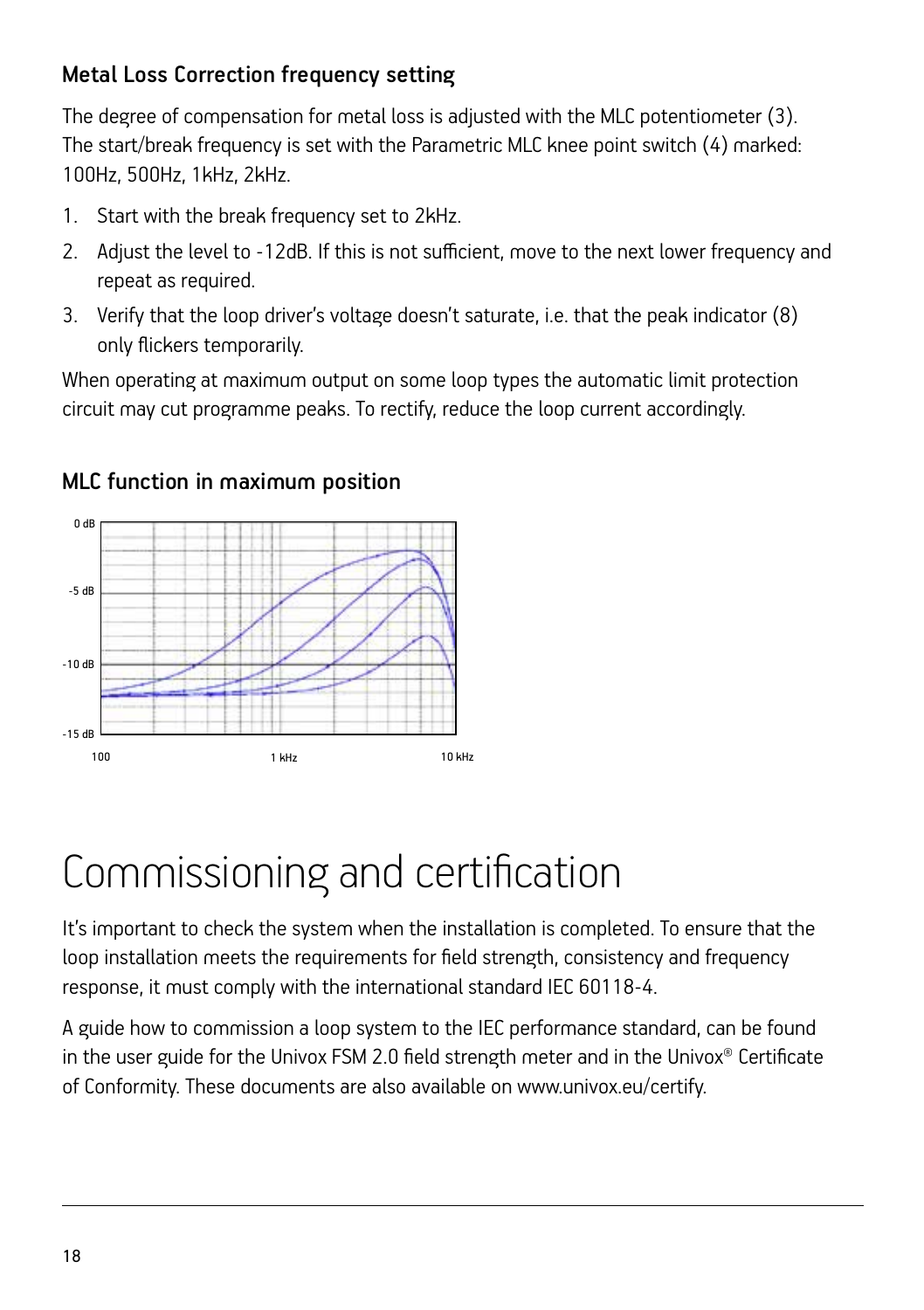## Metal Loss Correction frequency setting

The degree of compensation for metal loss is adjusted with the MLC potentiometer (3). The start/break frequency is set with the Parametric MLC knee point switch (4) marked: 100Hz, 500Hz, 1kHz, 2kHz.

- 1. Start with the break frequency set to 2kHz.
- 2. Adjust the level to -12dB. If this is not sufficient, move to the next lower frequency and repeat as required.
- 3. Verify that the loop driver's voltage doesn't saturate, i.e. that the peak indicator (8) only flickers temporarily.

When operating at maximum output on some loop types the automatic limit protection circuit may cut programme peaks. To rectify, reduce the loop current accordingly.



#### MLC function in maximum position

## Commissioning and certification

It's important to check the system when the installation is completed. To ensure that the loop installation meets the requirements for field strength, consistency and frequency response, it must comply with the international standard IEC 60118-4.

A guide how to commission a loop system to the IEC performance standard, can be found in the user guide for the Univox FSM 2.0 field strength meter and in the Univox<sup>®</sup> Certificate of Conformity. These documents are also available on www.univox.eu/certify.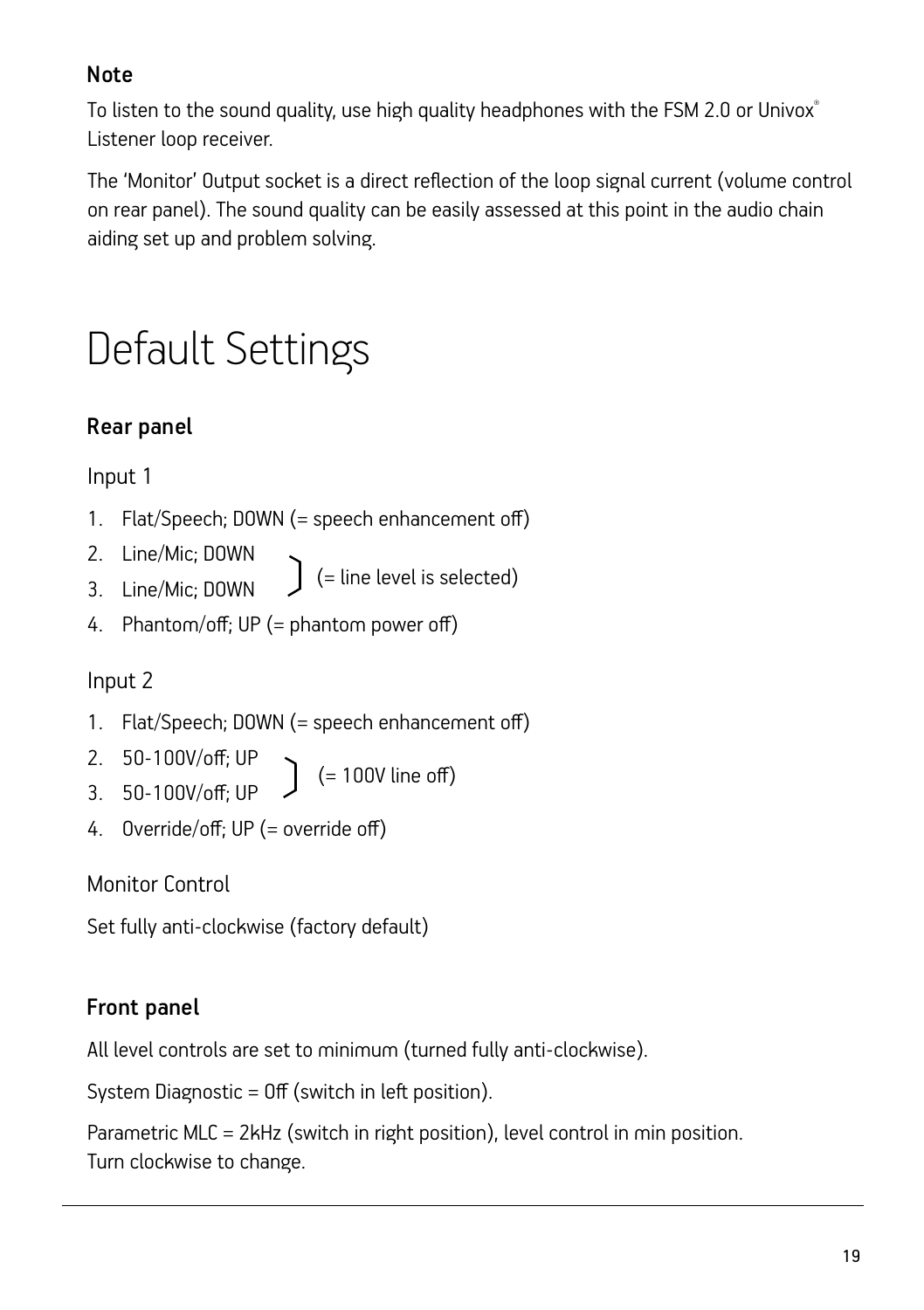## Note

To listen to the sound quality, use high quality headphones with the FSM 2.0 or Univox® Listener loop receiver.

The 'Monitor' Output socket is a direct reflection of the loop signal current (volume control on rear panel). The sound quality can be easily assessed at this point in the audio chain aiding set up and problem solving.

## Default Settings

## Rear panel

Input 1

- 1. Flat/Speech; DOWN (= speech enhancement off)
- 2. Line/Mic; DOWN
- 3. Line/Mic; DOWN  $\int$  (= line level is selected)
- 4. Phantom/off; UP (= phantom power off)

## Input 2

- 1. Flat/Speech; DOWN (= speech enhancement off)
- 2. 50-100V/off; UP 3. 50-100V/off; UP
- (= 100V line off)
- 4. Override/off; UP (= override off)

Monitor Control

Set fully anti-clockwise (factory default)

## Front panel

All level controls are set to minimum (turned fully anti-clockwise).

System Diagnostic = Off (switch in left position).

Parametric MLC = 2kHz (switch in right position), level control in min position. Turn clockwise to change.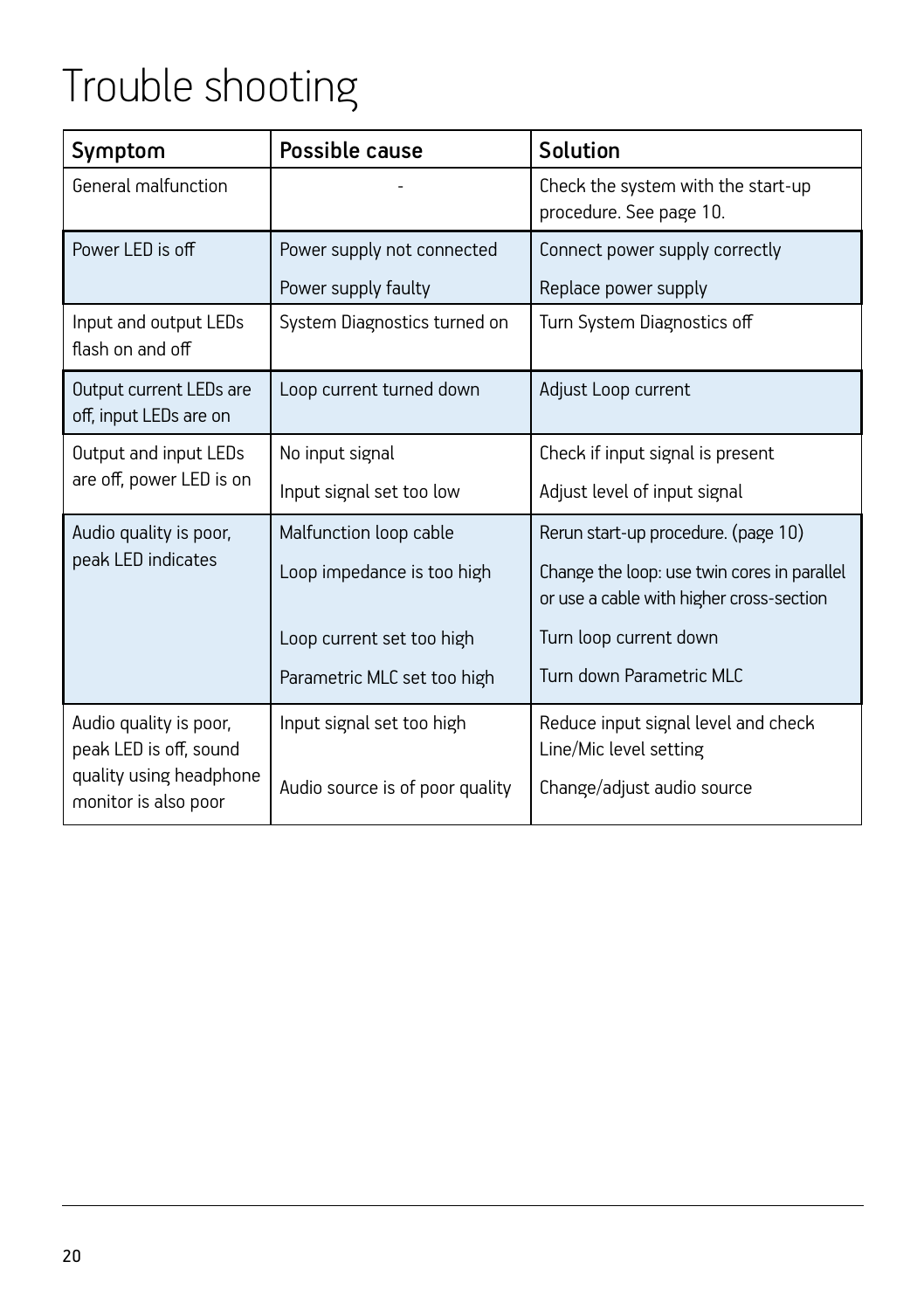## Trouble shooting

| Symptom                                                                     | Possible cause                  | Solution                                                                                |
|-----------------------------------------------------------------------------|---------------------------------|-----------------------------------------------------------------------------------------|
| General malfunction                                                         |                                 | Check the system with the start-up<br>procedure. See page 10.                           |
| Power I FD is off                                                           | Power supply not connected      | Connect power supply correctly                                                          |
|                                                                             | Power supply faulty             | Replace power supply                                                                    |
| Input and output LEDs<br>flash on and off                                   | System Diagnostics turned on    | Turn System Diagnostics off                                                             |
| Output current LEDs are<br>off, input LEDs are on                           | Loop current turned down        | Adjust Loop current                                                                     |
| Output and input LEDs                                                       | No input signal                 | Check if input signal is present                                                        |
| are off, power LED is on                                                    | Input signal set too low        | Adjust level of input signal                                                            |
| Audio quality is poor,                                                      | Malfunction loop cable          | Rerun start-up procedure. (page 10)                                                     |
| peak LED indicates                                                          | Loop impedance is too high      | Change the loop: use twin cores in parallel<br>or use a cable with higher cross-section |
|                                                                             | Loop current set too high       | Turn loop current down                                                                  |
|                                                                             | Parametric MLC set too high     | Turn down Parametric MLC                                                                |
| Audio quality is poor,<br>peak LED is off, sound<br>quality using headphone | Input signal set too high       | Reduce input signal level and check<br>Line/Mic level setting                           |
| monitor is also poor                                                        | Audio source is of poor quality | Change/adjust audio source                                                              |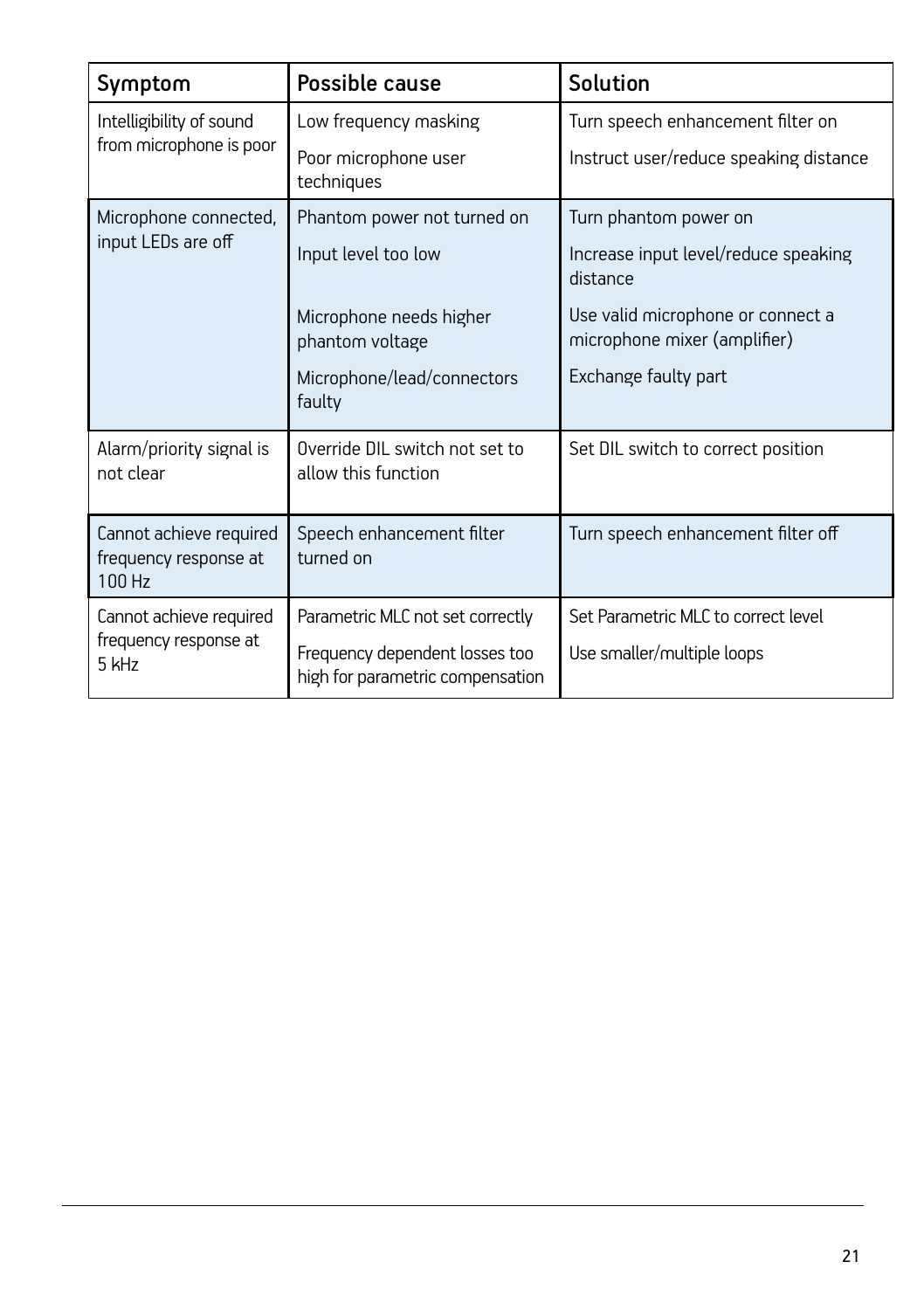| Symptom                                                    | Possible cause                                                     | <b>Solution</b>                                                   |  |
|------------------------------------------------------------|--------------------------------------------------------------------|-------------------------------------------------------------------|--|
| Intelligibility of sound                                   | Low frequency masking                                              | Turn speech enhancement filter on                                 |  |
| from microphone is poor                                    | Poor microphone user<br>techniques                                 | Instruct user/reduce speaking distance                            |  |
| Microphone connected,                                      | Phantom power not turned on                                        | Turn phantom power on                                             |  |
| input LEDs are off                                         | Input level too low                                                | Increase input level/reduce speaking<br>distance                  |  |
|                                                            | Microphone needs higher<br>phantom voltage                         | Use valid microphone or connect a<br>microphone mixer (amplifier) |  |
|                                                            | Microphone/lead/connectors<br>faulty                               | Exchange faulty part                                              |  |
| Alarm/priority signal is<br>not clear                      | Override DIL switch not set to<br>allow this function              | Set DIL switch to correct position                                |  |
| Cannot achieve required<br>frequency response at<br>100 Hz | Speech enhancement filter<br>turned on                             | Turn speech enhancement filter off                                |  |
| Cannot achieve required                                    | Parametric MLC not set correctly                                   | Set Parametric MLC to correct level                               |  |
| frequency response at<br>5 kHz                             | Frequency dependent losses too<br>high for parametric compensation | Use smaller/multiple loops                                        |  |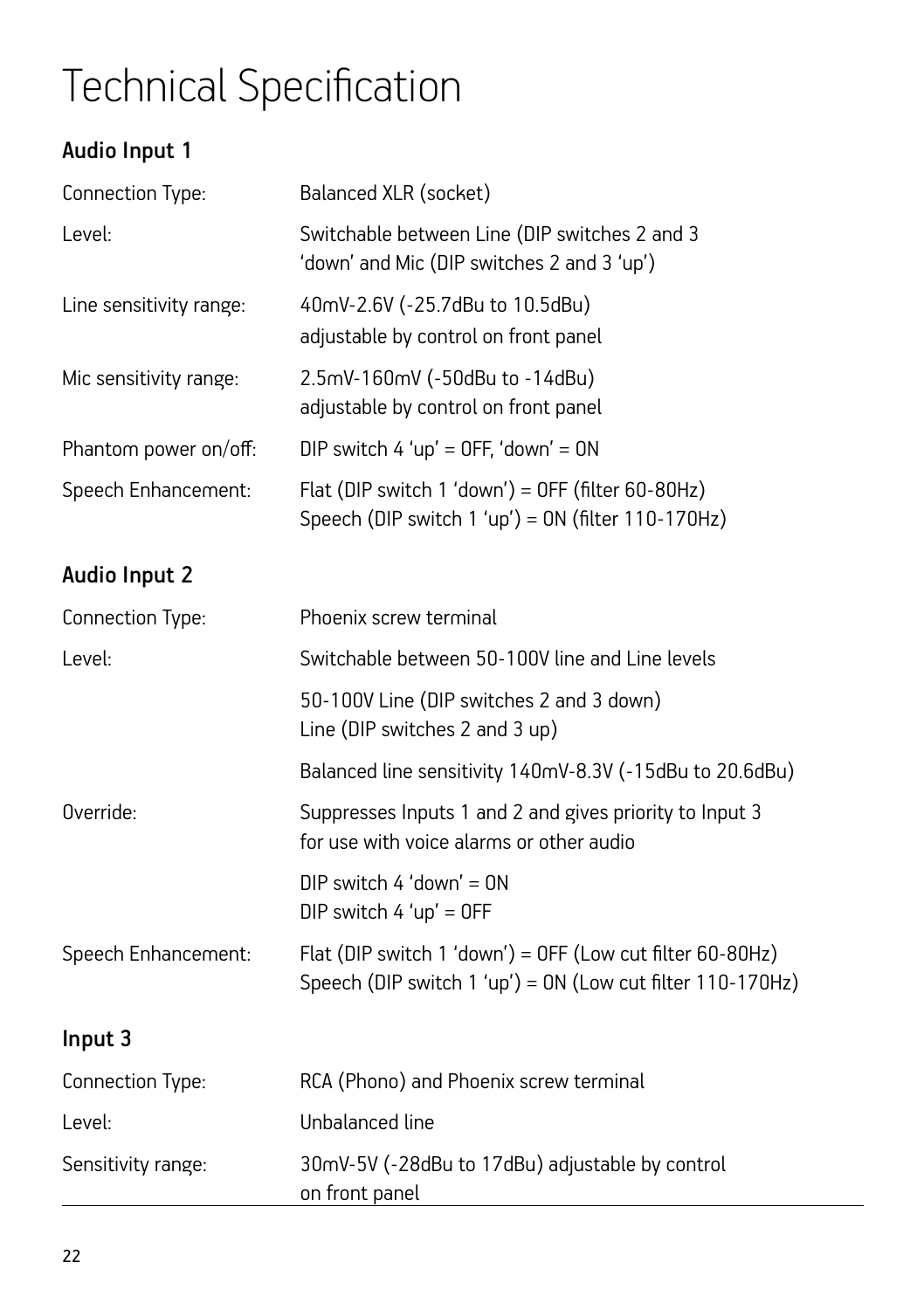## Technical Specification

## Audio Input 1

| Connection Type:        | Balanced XLR (socket)                                                                                                     |  |
|-------------------------|---------------------------------------------------------------------------------------------------------------------------|--|
| Level:                  | Switchable between Line (DIP switches 2 and 3<br>'down' and Mic (DIP switches 2 and 3 'up')                               |  |
| Line sensitivity range: | 40mV-2.6V (-25.7dBu to 10.5dBu)<br>adjustable by control on front panel                                                   |  |
| Mic sensitivity range:  | 2.5mV-160mV (-50dBu to -14dBu)<br>adjustable by control on front panel                                                    |  |
| Phantom power on/off:   | DIP switch $4$ 'up' = OFF, 'down' = ON                                                                                    |  |
| Speech Enhancement:     | Flat (DIP switch $1$ 'down') = OFF (filter 60-80Hz)<br>Speech (DIP switch 1 'up') = 0N (filter 110-170Hz)                 |  |
| <b>Audio Input 2</b>    |                                                                                                                           |  |
| Connection Type:        | Phoenix screw terminal                                                                                                    |  |
| Level:                  | Switchable between 50-100V line and Line levels                                                                           |  |
|                         | 50-100V Line (DIP switches 2 and 3 down)<br>Line (DIP switches 2 and 3 up)                                                |  |
|                         | Balanced line sensitivity 140mV-8.3V (-15dBu to 20.6dBu)                                                                  |  |
| Override:               | Suppresses Inputs 1 and 2 and gives priority to Input 3<br>for use with voice alarms or other audio                       |  |
|                         | DIP switch 4 'down' = ON<br>DIP switch $4$ 'up' = OFF                                                                     |  |
| Speech Enhancement:     | Flat (DIP switch $1$ 'down') = OFF (Low cut filter 60-80Hz)<br>Speech (DIP switch 1 'up') = 0N (Low cut filter 110-170Hz) |  |
| Input 3                 |                                                                                                                           |  |
| Connection Tune         | $DCA$ ( $Dh$ <sub>ang</sub> ) and $Dh$ gani $u$ agra $u$ to reginal                                                       |  |

|                    | on front panel                                  |
|--------------------|-------------------------------------------------|
| Sensitivity range: | 30mV-5V (-28dBu to 17dBu) adjustable by control |
| Level:             | Unbalanced line                                 |
| Connection Type:   | RCA (Phono) and Phoenix screw terminal          |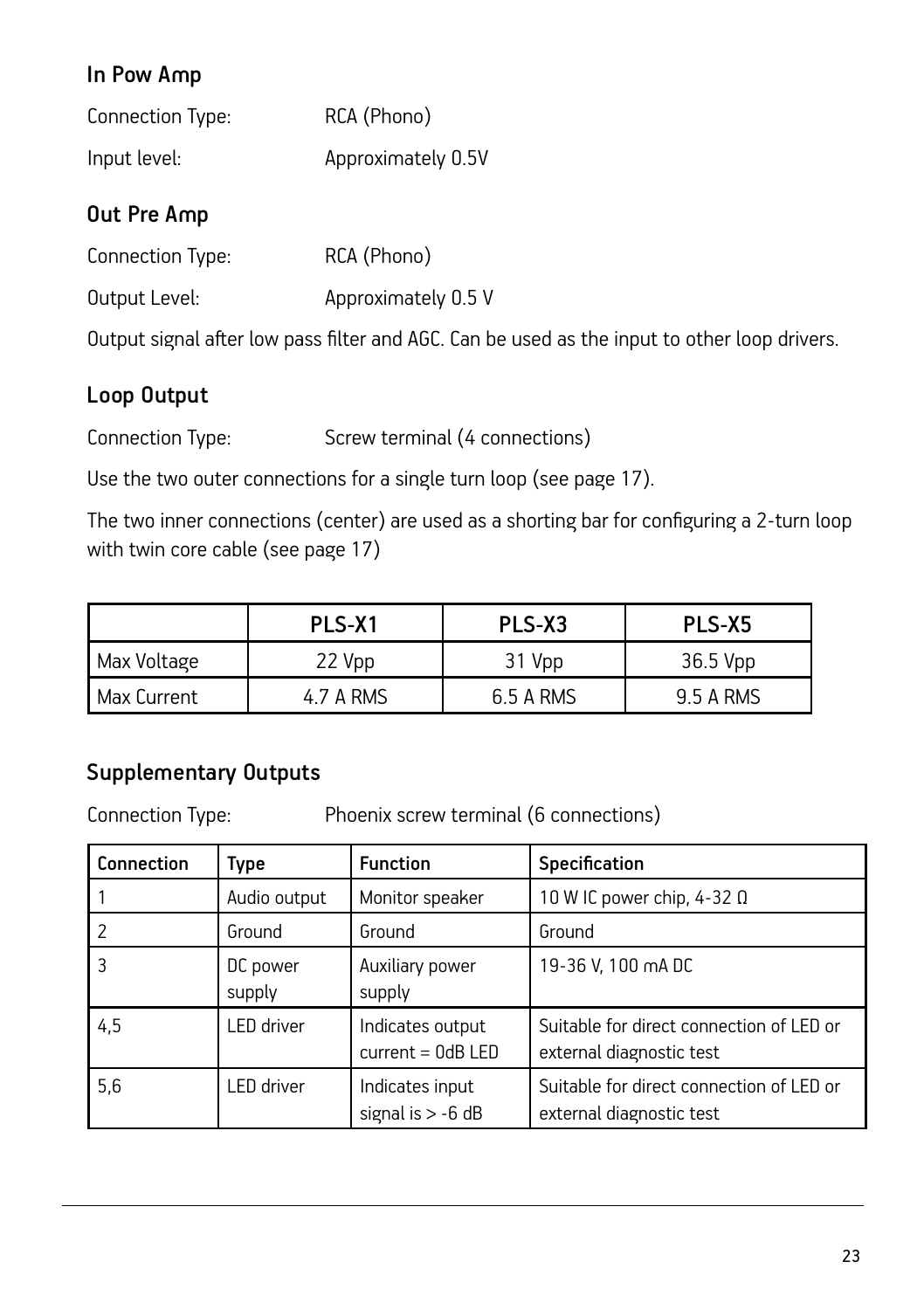### In Pow Amp

| Connection Type: | RCA (Phono)        |
|------------------|--------------------|
| Input level:     | Approximately 0.5V |

#### Out Pre Amp

| Connection Type: | RCA (Phono)         |
|------------------|---------------------|
| Output Level:    | Approximately 0.5 V |

Output signal after low pass filter and AGC. Can be used as the input to other loop drivers.

### Loop Output

Connection Type: Screw terminal (4 connections)

Use the two outer connections for a single turn loop (see page 17).

The two inner connections (center) are used as a shorting bar for configuring a 2-turn loop with twin core cable (see page 17)

|               | PLS-X1    | PLS-X3    | PLS-X5    |
|---------------|-----------|-----------|-----------|
| Max Voltage   | 22 Vpp    | 31 Vpp    | 36.5 Vpp  |
| l Max Current | 4.7 A RMS | 6.5 A RMS | 9.5 A RMS |

### Supplementary Outputs

Connection Type: Phoenix screw terminal (6 connections)

| <b>Connection</b> | Type               | <b>Function</b>                         | Specification                                                        |
|-------------------|--------------------|-----------------------------------------|----------------------------------------------------------------------|
|                   | Audio output       | Monitor speaker                         | 10 W IC power chip, 4-32 Ω                                           |
|                   | Ground             | Ground                                  | Ground                                                               |
| 3                 | DC power<br>supply | Auxiliary power<br>supply               | 19-36 V, 100 mA DC                                                   |
| 4,5               | LED driver         | Indicates output<br>$current = 0dB LED$ | Suitable for direct connection of LED or<br>external diagnostic test |
| 5,6               | <b>LED</b> driver  | Indicates input<br>signal is $>$ -6 dB  | Suitable for direct connection of LED or<br>external diagnostic test |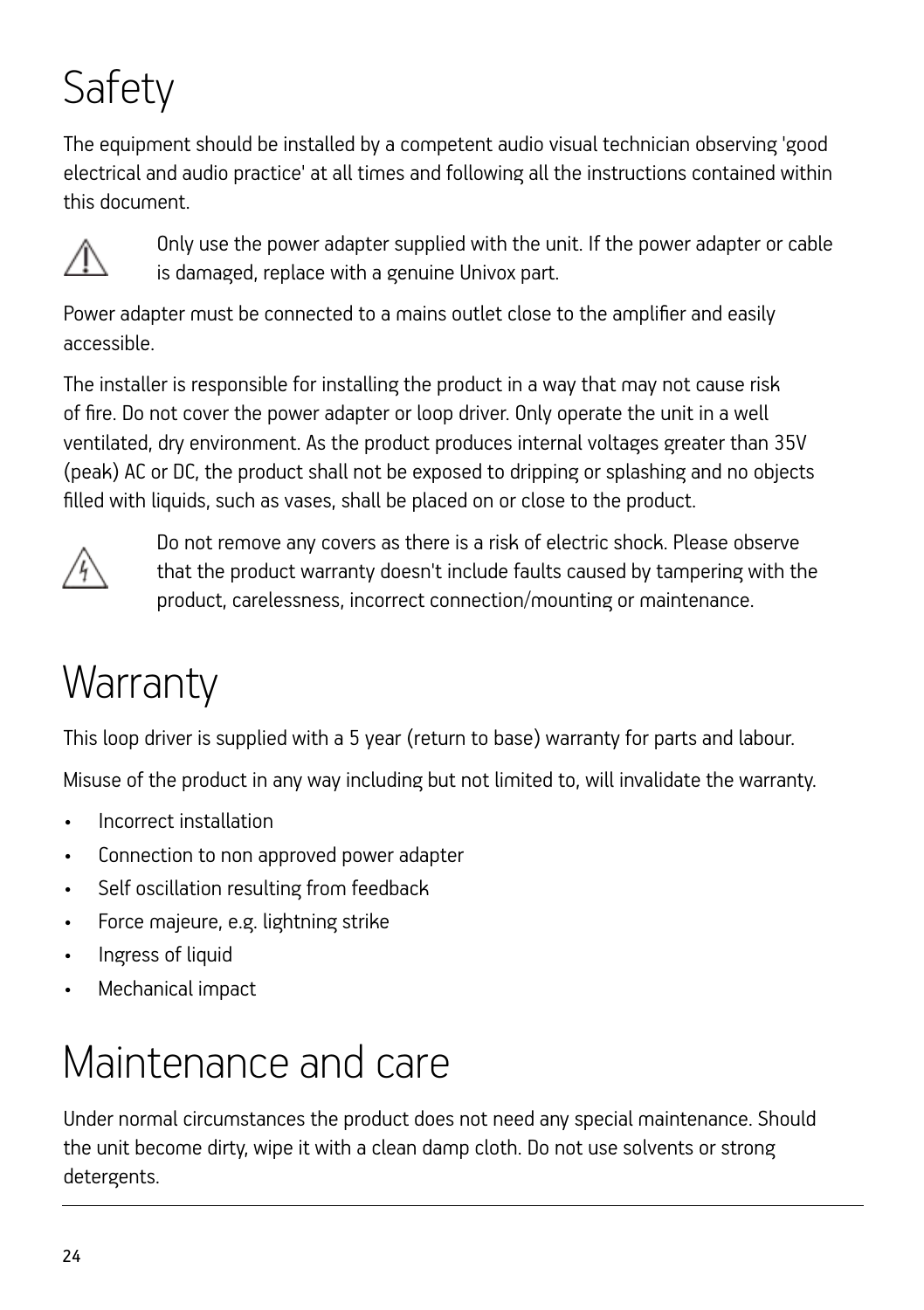## Safety

The equipment should be installed by a competent audio visual technician observing 'good electrical and audio practice' at all times and following all the instructions contained within this document.



Only use the power adapter supplied with the unit. If the power adapter or cable is damaged, replace with a genuine Univox part.

Power adapter must be connected to a mains outlet close to the amplifier and easily accessible.

The installer is responsible for installing the product in a way that may not cause risk of fire. Do not cover the power adapter or loop driver. Only operate the unit in a well ventilated, dry environment. As the product produces internal voltages greater than 35V (peak) AC or DC, the product shall not be exposed to dripping or splashing and no objects filled with liquids, such as vases, shall be placed on or close to the product.



Do not remove any covers as there is a risk of electric shock. Please observe that the product warranty doesn't include faults caused by tampering with the product, carelessness, incorrect connection/mounting or maintenance.

## **Warranty**

This loop driver is supplied with a 5 year (return to base) warranty for parts and labour.

Misuse of the product in any way including but not limited to, will invalidate the warranty.

- Incorrect installation
- Connection to non approved power adapter
- Self oscillation resulting from feedback
- Force majeure, e.g. lightning strike
- Ingress of liquid
- Mechanical impact

## Maintenance and care

Under normal circumstances the product does not need any special maintenance. Should the unit become dirty, wipe it with a clean damp cloth. Do not use solvents or strong detergents.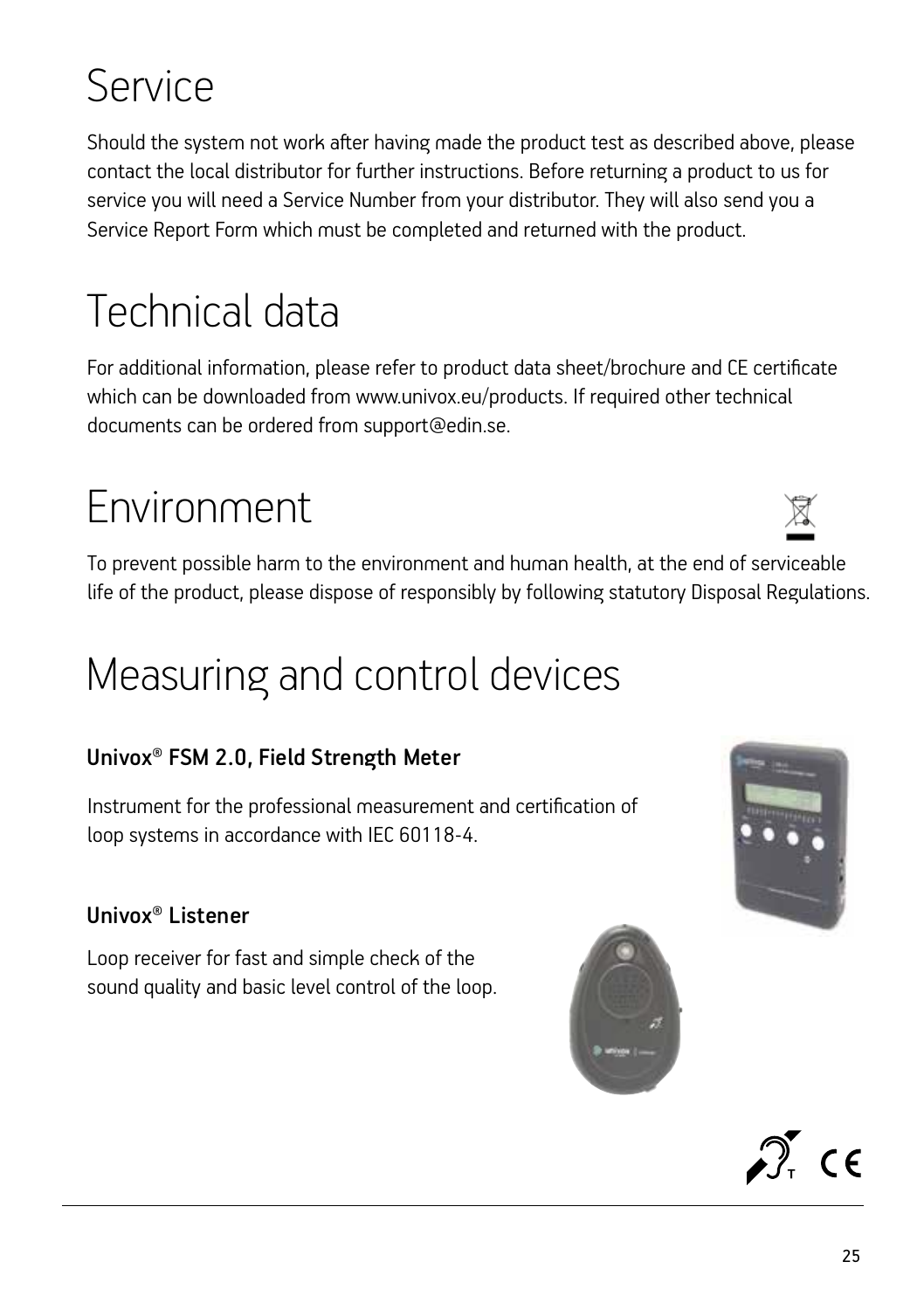$\mathcal{D}_{\tau}$  CE

## Service

Should the system not work after having made the product test as described above, please contact the local distributor for further instructions. Before returning a product to us for service you will need a Service Number from your distributor. They will also send you a Service Report Form which must be completed and returned with the product.

## Technical data

For additional information, please refer to product data sheet/brochure and CE certificate which can be downloaded from www.univox.eu/products. If required other technical documents can be ordered from support@edin.se.

## Environment

To prevent possible harm to the environment and human health, at the end of serviceable life of the product, please dispose of responsibly by following statutory Disposal Regulations.

## Measuring and control devices

## Univox® FSM 2.0, Field Strength Meter

Instrument for the professional measurement and certification of loop systems in accordance with IEC 60118-4.

### Univox® Listener

Loop receiver for fast and simple check of the sound quality and basic level control of the loop.







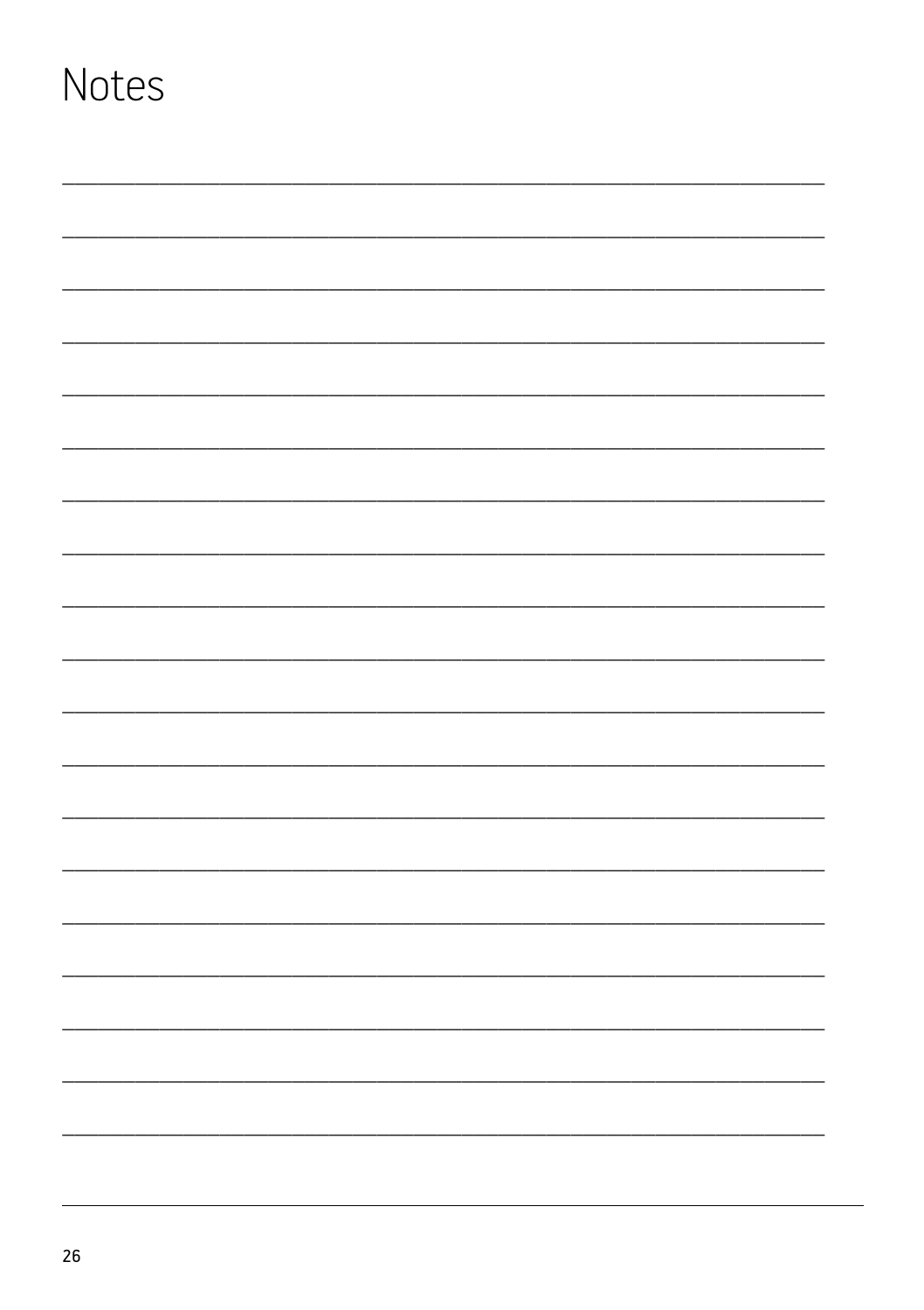## **Notes**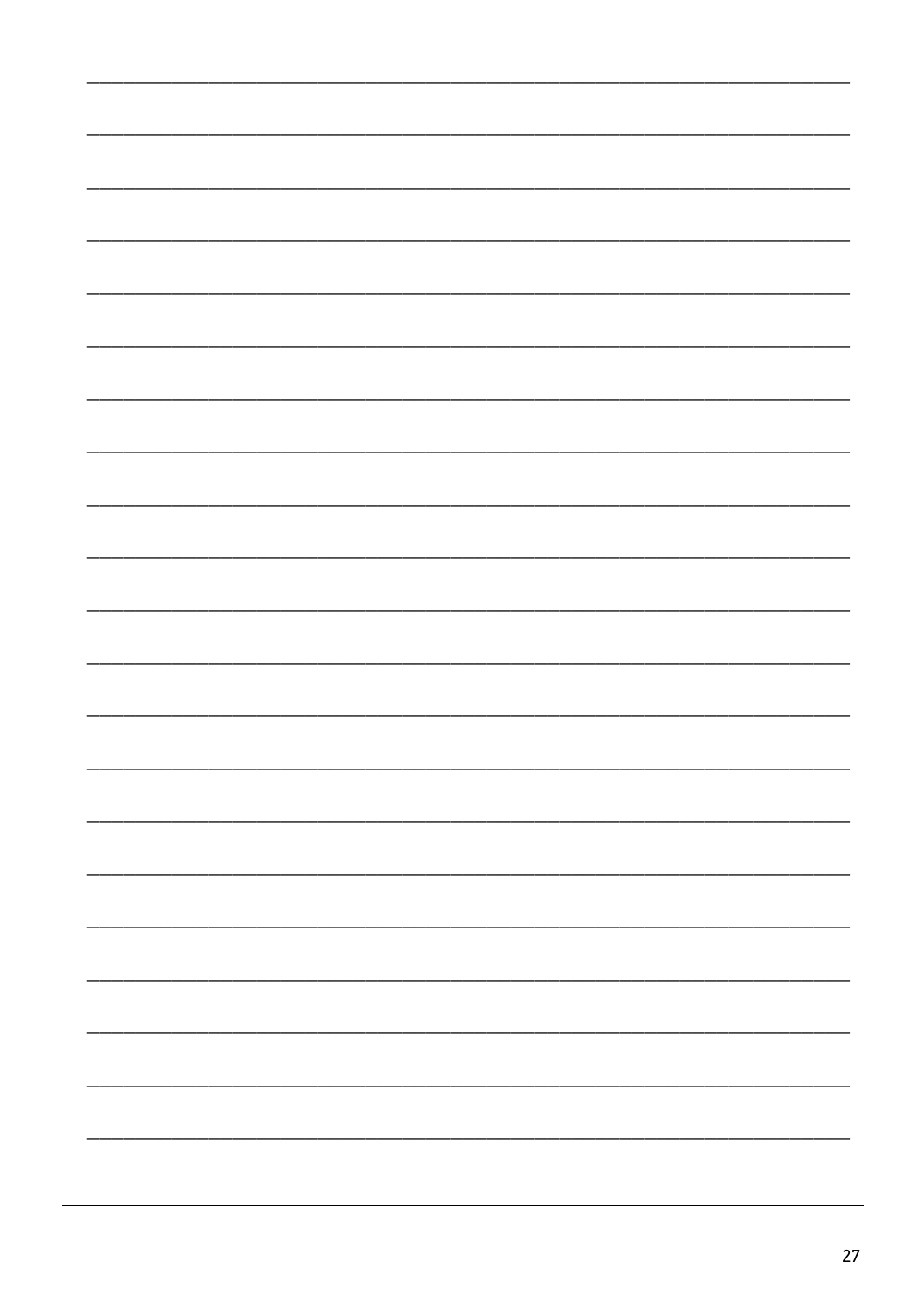